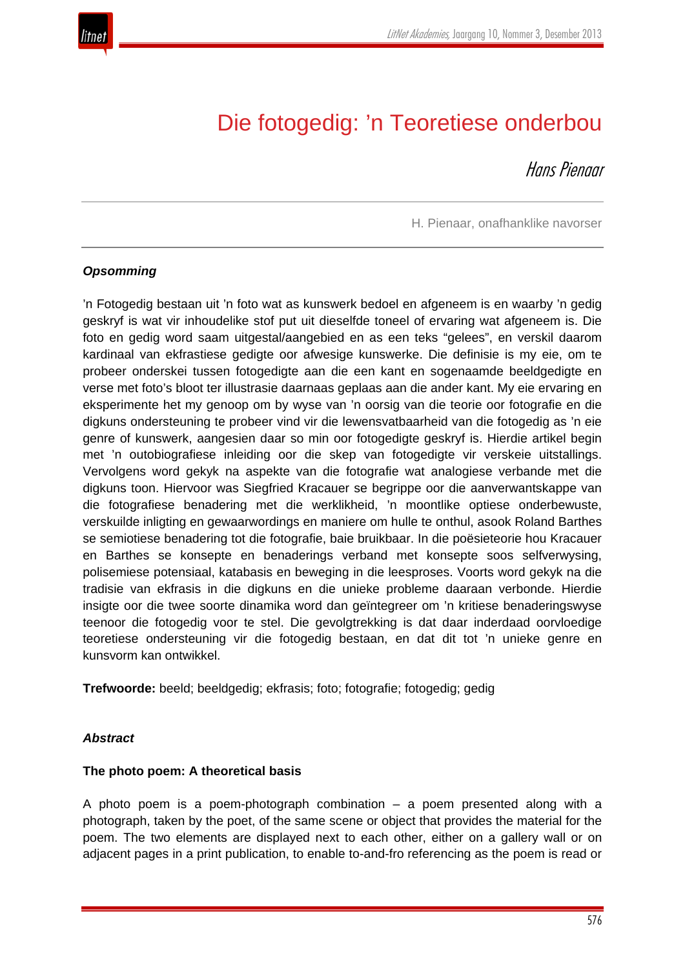

# Die fotogedig: 'n Teoretiese onderbou

Hans Pienaar

H. Pienaar, onafhanklike navorser

#### *Opsomming*

'n Fotogedig bestaan uit 'n foto wat as kunswerk bedoel en afgeneem is en waarby 'n gedig geskryf is wat vir inhoudelike stof put uit dieselfde toneel of ervaring wat afgeneem is. Die foto en gedig word saam uitgestal/aangebied en as een teks "gelees", en verskil daarom kardinaal van ekfrastiese gedigte oor afwesige kunswerke. Die definisie is my eie, om te probeer onderskei tussen fotogedigte aan die een kant en sogenaamde beeldgedigte en verse met foto's bloot ter illustrasie daarnaas geplaas aan die ander kant. My eie ervaring en eksperimente het my genoop om by wyse van 'n oorsig van die teorie oor fotografie en die digkuns ondersteuning te probeer vind vir die lewensvatbaarheid van die fotogedig as 'n eie genre of kunswerk, aangesien daar so min oor fotogedigte geskryf is. Hierdie artikel begin met 'n outobiografiese inleiding oor die skep van fotogedigte vir verskeie uitstallings. Vervolgens word gekyk na aspekte van die fotografie wat analogiese verbande met die digkuns toon. Hiervoor was Siegfried Kracauer se begrippe oor die aanverwantskappe van die fotografiese benadering met die werklikheid, 'n moontlike optiese onderbewuste, verskuilde inligting en gewaarwordings en maniere om hulle te onthul, asook Roland Barthes se semiotiese benadering tot die fotografie, baie bruikbaar. In die poësieteorie hou Kracauer en Barthes se konsepte en benaderings verband met konsepte soos selfverwysing, polisemiese potensiaal, katabasis en beweging in die leesproses. Voorts word gekyk na die tradisie van ekfrasis in die digkuns en die unieke probleme daaraan verbonde. Hierdie insigte oor die twee soorte dinamika word dan geïntegreer om 'n kritiese benaderingswyse teenoor die fotogedig voor te stel. Die gevolgtrekking is dat daar inderdaad oorvloedige teoretiese ondersteuning vir die fotogedig bestaan, en dat dit tot 'n unieke genre en kunsvorm kan ontwikkel.

**Trefwoorde:** beeld; beeldgedig; ekfrasis; foto; fotografie; fotogedig; gedig

#### *Abstract*

#### **The photo poem: A theoretical basis**

A photo poem is a poem-photograph combination – a poem presented along with a photograph, taken by the poet, of the same scene or object that provides the material for the poem. The two elements are displayed next to each other, either on a gallery wall or on adjacent pages in a print publication, to enable to-and-fro referencing as the poem is read or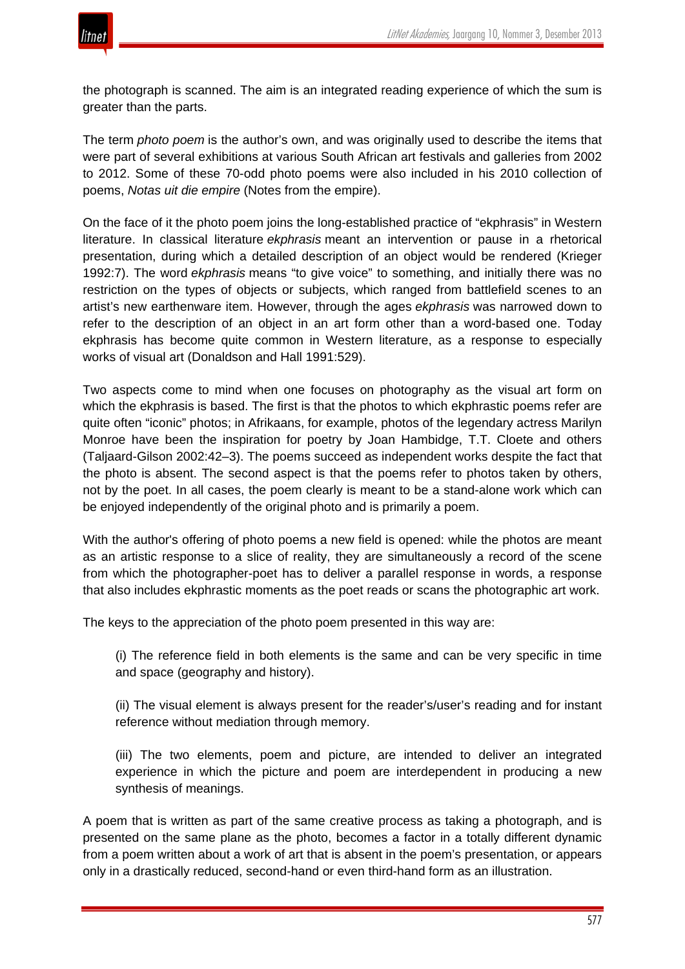the photograph is scanned. The aim is an integrated reading experience of which the sum is greater than the parts.

The term *photo poem* is the author's own, and was originally used to describe the items that were part of several exhibitions at various South African art festivals and galleries from 2002 to 2012. Some of these 70-odd photo poems were also included in his 2010 collection of poems, *Notas uit die empire* (Notes from the empire).

On the face of it the photo poem joins the long-established practice of "ekphrasis" in Western literature. In classical literature *ekphrasis* meant an intervention or pause in a rhetorical presentation, during which a detailed description of an object would be rendered (Krieger 1992:7). The word *ekphrasis* means "to give voice" to something, and initially there was no restriction on the types of objects or subjects, which ranged from battlefield scenes to an artist's new earthenware item. However, through the ages *ekphrasis* was narrowed down to refer to the description of an object in an art form other than a word-based one. Today ekphrasis has become quite common in Western literature, as a response to especially works of visual art (Donaldson and Hall 1991:529).

Two aspects come to mind when one focuses on photography as the visual art form on which the ekphrasis is based. The first is that the photos to which ekphrastic poems refer are quite often "iconic" photos; in Afrikaans, for example, photos of the legendary actress Marilyn Monroe have been the inspiration for poetry by Joan Hambidge, T.T. Cloete and others (Taljaard-Gilson 2002:42–3). The poems succeed as independent works despite the fact that the photo is absent. The second aspect is that the poems refer to photos taken by others, not by the poet. In all cases, the poem clearly is meant to be a stand-alone work which can be enjoyed independently of the original photo and is primarily a poem.

With the author's offering of photo poems a new field is opened: while the photos are meant as an artistic response to a slice of reality, they are simultaneously a record of the scene from which the photographer-poet has to deliver a parallel response in words, a response that also includes ekphrastic moments as the poet reads or scans the photographic art work.

The keys to the appreciation of the photo poem presented in this way are:

(i) The reference field in both elements is the same and can be very specific in time and space (geography and history).

(ii) The visual element is always present for the reader's/user's reading and for instant reference without mediation through memory.

(iii) The two elements, poem and picture, are intended to deliver an integrated experience in which the picture and poem are interdependent in producing a new synthesis of meanings.

A poem that is written as part of the same creative process as taking a photograph, and is presented on the same plane as the photo, becomes a factor in a totally different dynamic from a poem written about a work of art that is absent in the poem's presentation, or appears only in a drastically reduced, second-hand or even third-hand form as an illustration.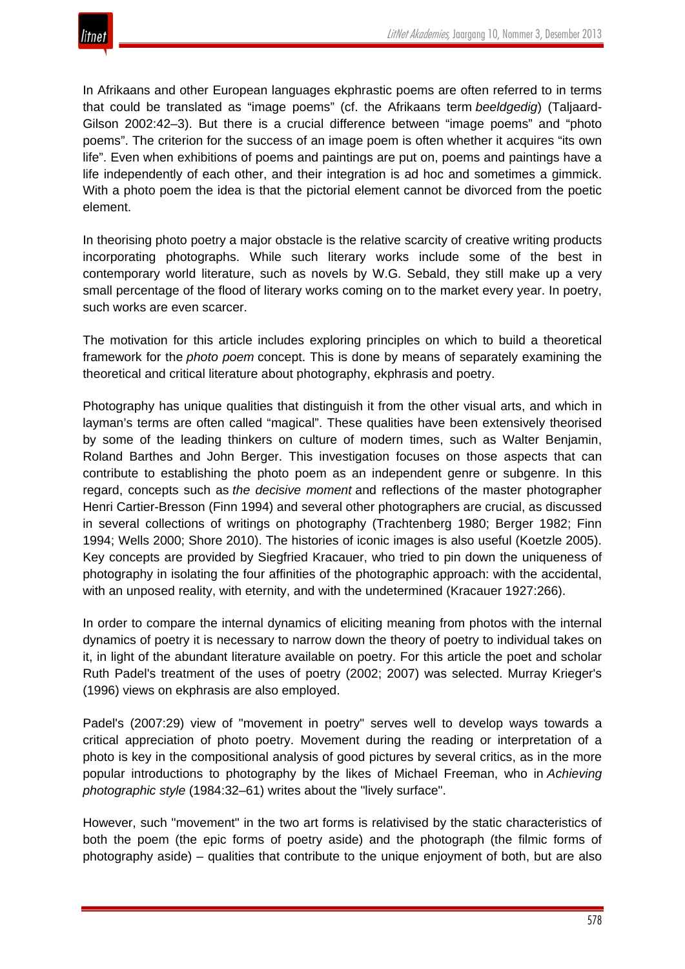

In Afrikaans and other European languages ekphrastic poems are often referred to in terms that could be translated as "image poems" (cf. the Afrikaans term *beeldgedig*) (Taljaard-Gilson 2002:42–3). But there is a crucial difference between "image poems" and "photo poems". The criterion for the success of an image poem is often whether it acquires "its own life". Even when exhibitions of poems and paintings are put on, poems and paintings have a life independently of each other, and their integration is ad hoc and sometimes a gimmick. With a photo poem the idea is that the pictorial element cannot be divorced from the poetic element.

In theorising photo poetry a major obstacle is the relative scarcity of creative writing products incorporating photographs. While such literary works include some of the best in contemporary world literature, such as novels by W.G. Sebald, they still make up a very small percentage of the flood of literary works coming on to the market every year. In poetry, such works are even scarcer.

The motivation for this article includes exploring principles on which to build a theoretical framework for the *photo poem* concept. This is done by means of separately examining the theoretical and critical literature about photography, ekphrasis and poetry.

Photography has unique qualities that distinguish it from the other visual arts, and which in layman's terms are often called "magical". These qualities have been extensively theorised by some of the leading thinkers on culture of modern times, such as Walter Benjamin, Roland Barthes and John Berger. This investigation focuses on those aspects that can contribute to establishing the photo poem as an independent genre or subgenre. In this regard, concepts such as *the decisive moment* and reflections of the master photographer Henri Cartier-Bresson (Finn 1994) and several other photographers are crucial, as discussed in several collections of writings on photography (Trachtenberg 1980; Berger 1982; Finn 1994; Wells 2000; Shore 2010). The histories of iconic images is also useful (Koetzle 2005). Key concepts are provided by Siegfried Kracauer, who tried to pin down the uniqueness of photography in isolating the four affinities of the photographic approach: with the accidental, with an unposed reality, with eternity, and with the undetermined (Kracauer 1927:266).

In order to compare the internal dynamics of eliciting meaning from photos with the internal dynamics of poetry it is necessary to narrow down the theory of poetry to individual takes on it, in light of the abundant literature available on poetry. For this article the poet and scholar Ruth Padel's treatment of the uses of poetry (2002; 2007) was selected. Murray Krieger's (1996) views on ekphrasis are also employed.

Padel's (2007:29) view of "movement in poetry" serves well to develop ways towards a critical appreciation of photo poetry. Movement during the reading or interpretation of a photo is key in the compositional analysis of good pictures by several critics, as in the more popular introductions to photography by the likes of Michael Freeman, who in *Achieving photographic style* (1984:32–61) writes about the "lively surface".

However, such "movement" in the two art forms is relativised by the static characteristics of both the poem (the epic forms of poetry aside) and the photograph (the filmic forms of photography aside) – qualities that contribute to the unique enjoyment of both, but are also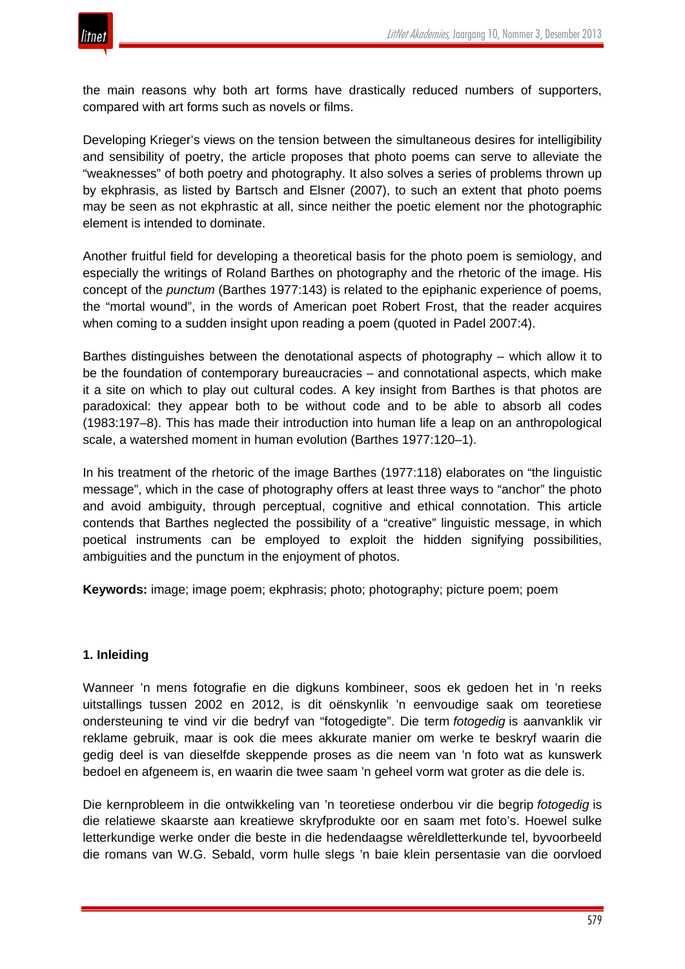

the main reasons why both art forms have drastically reduced numbers of supporters, compared with art forms such as novels or films.

Developing Krieger's views on the tension between the simultaneous desires for intelligibility and sensibility of poetry, the article proposes that photo poems can serve to alleviate the "weaknesses" of both poetry and photography. It also solves a series of problems thrown up by ekphrasis, as listed by Bartsch and Elsner (2007), to such an extent that photo poems may be seen as not ekphrastic at all, since neither the poetic element nor the photographic element is intended to dominate.

Another fruitful field for developing a theoretical basis for the photo poem is semiology, and especially the writings of Roland Barthes on photography and the rhetoric of the image. His concept of the *punctum* (Barthes 1977:143) is related to the epiphanic experience of poems, the "mortal wound", in the words of American poet Robert Frost, that the reader acquires when coming to a sudden insight upon reading a poem (quoted in Padel 2007:4).

Barthes distinguishes between the denotational aspects of photography – which allow it to be the foundation of contemporary bureaucracies – and connotational aspects, which make it a site on which to play out cultural codes. A key insight from Barthes is that photos are paradoxical: they appear both to be without code and to be able to absorb all codes (1983:197–8). This has made their introduction into human life a leap on an anthropological scale, a watershed moment in human evolution (Barthes 1977:120–1).

In his treatment of the rhetoric of the image Barthes (1977:118) elaborates on "the linguistic message", which in the case of photography offers at least three ways to "anchor" the photo and avoid ambiguity, through perceptual, cognitive and ethical connotation. This article contends that Barthes neglected the possibility of a "creative" linguistic message, in which poetical instruments can be employed to exploit the hidden signifying possibilities, ambiguities and the punctum in the enjoyment of photos.

**Keywords:** image; image poem; ekphrasis; photo; photography; picture poem; poem

#### **1. Inleiding**

Wanneer 'n mens fotografie en die digkuns kombineer, soos ek gedoen het in 'n reeks uitstallings tussen 2002 en 2012, is dit oënskynlik 'n eenvoudige saak om teoretiese ondersteuning te vind vir die bedryf van "fotogedigte". Die term *fotogedig* is aanvanklik vir reklame gebruik, maar is ook die mees akkurate manier om werke te beskryf waarin die gedig deel is van dieselfde skeppende proses as die neem van 'n foto wat as kunswerk bedoel en afgeneem is, en waarin die twee saam 'n geheel vorm wat groter as die dele is.

Die kernprobleem in die ontwikkeling van 'n teoretiese onderbou vir die begrip *fotogedig* is die relatiewe skaarste aan kreatiewe skryfprodukte oor en saam met foto's. Hoewel sulke letterkundige werke onder die beste in die hedendaagse wêreldletterkunde tel, byvoorbeeld die romans van W.G. Sebald, vorm hulle slegs 'n baie klein persentasie van die oorvloed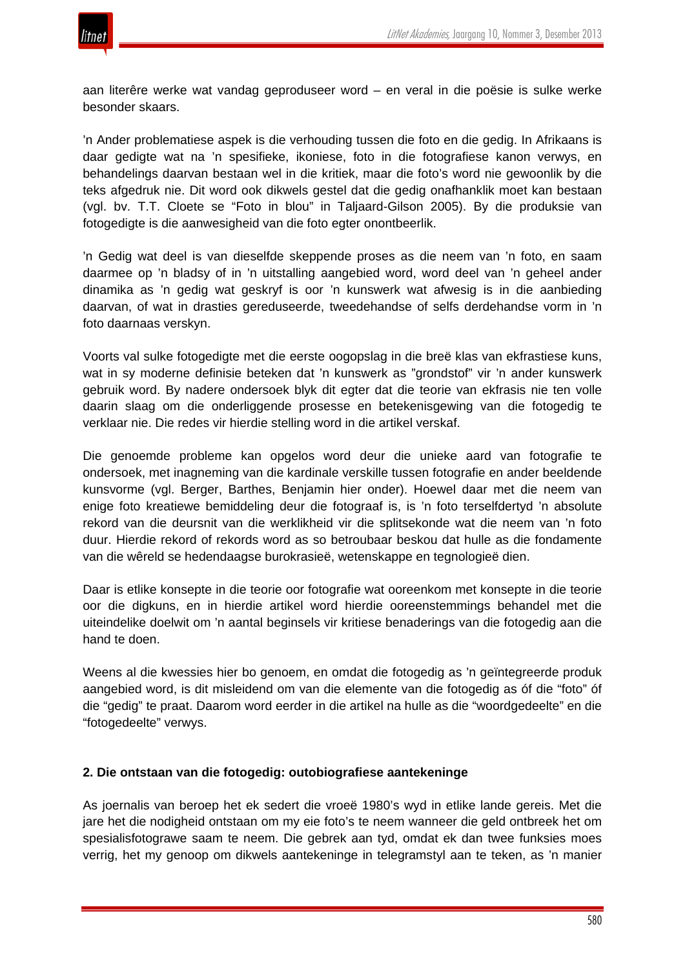

aan literêre werke wat vandag geproduseer word – en veral in die poësie is sulke werke besonder skaars.

'n Ander problematiese aspek is die verhouding tussen die foto en die gedig. In Afrikaans is daar gedigte wat na 'n spesifieke, ikoniese, foto in die fotografiese kanon verwys, en behandelings daarvan bestaan wel in die kritiek, maar die foto's word nie gewoonlik by die teks afgedruk nie. Dit word ook dikwels gestel dat die gedig onafhanklik moet kan bestaan (vgl. bv. T.T. Cloete se "Foto in blou" in Taljaard-Gilson 2005). By die produksie van fotogedigte is die aanwesigheid van die foto egter onontbeerlik.

'n Gedig wat deel is van dieselfde skeppende proses as die neem van 'n foto, en saam daarmee op 'n bladsy of in 'n uitstalling aangebied word, word deel van 'n geheel ander dinamika as 'n gedig wat geskryf is oor 'n kunswerk wat afwesig is in die aanbieding daarvan, of wat in drasties gereduseerde, tweedehandse of selfs derdehandse vorm in 'n foto daarnaas verskyn.

Voorts val sulke fotogedigte met die eerste oogopslag in die breë klas van ekfrastiese kuns, wat in sy moderne definisie beteken dat 'n kunswerk as "grondstof" vir 'n ander kunswerk gebruik word. By nadere ondersoek blyk dit egter dat die teorie van ekfrasis nie ten volle daarin slaag om die onderliggende prosesse en betekenisgewing van die fotogedig te verklaar nie. Die redes vir hierdie stelling word in die artikel verskaf.

Die genoemde probleme kan opgelos word deur die unieke aard van fotografie te ondersoek, met inagneming van die kardinale verskille tussen fotografie en ander beeldende kunsvorme (vgl. Berger, Barthes, Benjamin hier onder). Hoewel daar met die neem van enige foto kreatiewe bemiddeling deur die fotograaf is, is 'n foto terselfdertyd 'n absolute rekord van die deursnit van die werklikheid vir die splitsekonde wat die neem van 'n foto duur. Hierdie rekord of rekords word as so betroubaar beskou dat hulle as die fondamente van die wêreld se hedendaagse burokrasieë, wetenskappe en tegnologieë dien.

Daar is etlike konsepte in die teorie oor fotografie wat ooreenkom met konsepte in die teorie oor die digkuns, en in hierdie artikel word hierdie ooreenstemmings behandel met die uiteindelike doelwit om 'n aantal beginsels vir kritiese benaderings van die fotogedig aan die hand te doen.

Weens al die kwessies hier bo genoem, en omdat die fotogedig as 'n geïntegreerde produk aangebied word, is dit misleidend om van die elemente van die fotogedig as óf die "foto" óf die "gedig" te praat. Daarom word eerder in die artikel na hulle as die "woordgedeelte" en die "fotogedeelte" verwys.

#### **2. Die ontstaan van die fotogedig: outobiografiese aantekeninge**

As joernalis van beroep het ek sedert die vroeë 1980's wyd in etlike lande gereis. Met die jare het die nodigheid ontstaan om my eie foto's te neem wanneer die geld ontbreek het om spesialisfotograwe saam te neem. Die gebrek aan tyd, omdat ek dan twee funksies moes verrig, het my genoop om dikwels aantekeninge in telegramstyl aan te teken, as 'n manier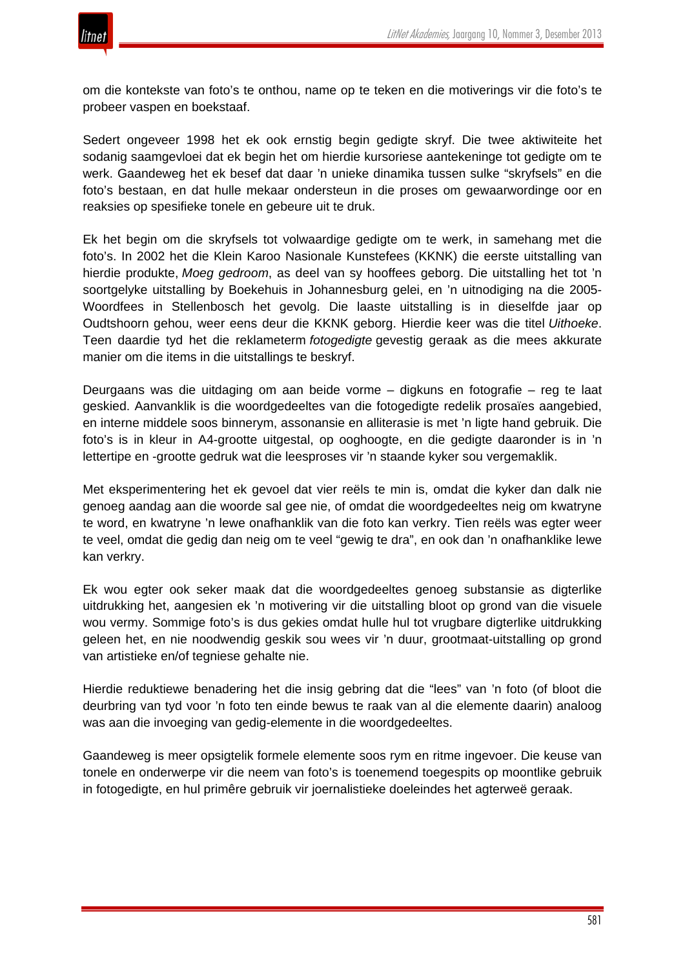

om die kontekste van foto's te onthou, name op te teken en die motiverings vir die foto's te probeer vaspen en boekstaaf.

Sedert ongeveer 1998 het ek ook ernstig begin gedigte skryf. Die twee aktiwiteite het sodanig saamgevloei dat ek begin het om hierdie kursoriese aantekeninge tot gedigte om te werk. Gaandeweg het ek besef dat daar 'n unieke dinamika tussen sulke "skryfsels" en die foto's bestaan, en dat hulle mekaar ondersteun in die proses om gewaarwordinge oor en reaksies op spesifieke tonele en gebeure uit te druk.

Ek het begin om die skryfsels tot volwaardige gedigte om te werk, in samehang met die foto's. In 2002 het die Klein Karoo Nasionale Kunstefees (KKNK) die eerste uitstalling van hierdie produkte, *Moeg gedroom*, as deel van sy hooffees geborg. Die uitstalling het tot 'n soortgelyke uitstalling by Boekehuis in Johannesburg gelei, en 'n uitnodiging na die 2005- Woordfees in Stellenbosch het gevolg. Die laaste uitstalling is in dieselfde jaar op Oudtshoorn gehou, weer eens deur die KKNK geborg. Hierdie keer was die titel *Uithoeke*. Teen daardie tyd het die reklameterm *fotogedigte* gevestig geraak as die mees akkurate manier om die items in die uitstallings te beskryf.

Deurgaans was die uitdaging om aan beide vorme – digkuns en fotografie – reg te laat geskied. Aanvanklik is die woordgedeeltes van die fotogedigte redelik prosaïes aangebied, en interne middele soos binnerym, assonansie en alliterasie is met 'n ligte hand gebruik. Die foto's is in kleur in A4-grootte uitgestal, op ooghoogte, en die gedigte daaronder is in 'n lettertipe en -grootte gedruk wat die leesproses vir 'n staande kyker sou vergemaklik.

Met eksperimentering het ek gevoel dat vier reëls te min is, omdat die kyker dan dalk nie genoeg aandag aan die woorde sal gee nie, of omdat die woordgedeeltes neig om kwatryne te word, en kwatryne 'n lewe onafhanklik van die foto kan verkry. Tien reëls was egter weer te veel, omdat die gedig dan neig om te veel "gewig te dra", en ook dan 'n onafhanklike lewe kan verkry.

Ek wou egter ook seker maak dat die woordgedeeltes genoeg substansie as digterlike uitdrukking het, aangesien ek 'n motivering vir die uitstalling bloot op grond van die visuele wou vermy. Sommige foto's is dus gekies omdat hulle hul tot vrugbare digterlike uitdrukking geleen het, en nie noodwendig geskik sou wees vir 'n duur, grootmaat-uitstalling op grond van artistieke en/of tegniese gehalte nie.

Hierdie reduktiewe benadering het die insig gebring dat die "lees" van 'n foto (of bloot die deurbring van tyd voor 'n foto ten einde bewus te raak van al die elemente daarin) analoog was aan die invoeging van gedig-elemente in die woordgedeeltes.

Gaandeweg is meer opsigtelik formele elemente soos rym en ritme ingevoer. Die keuse van tonele en onderwerpe vir die neem van foto's is toenemend toegespits op moontlike gebruik in fotogedigte, en hul primêre gebruik vir joernalistieke doeleindes het agterweë geraak.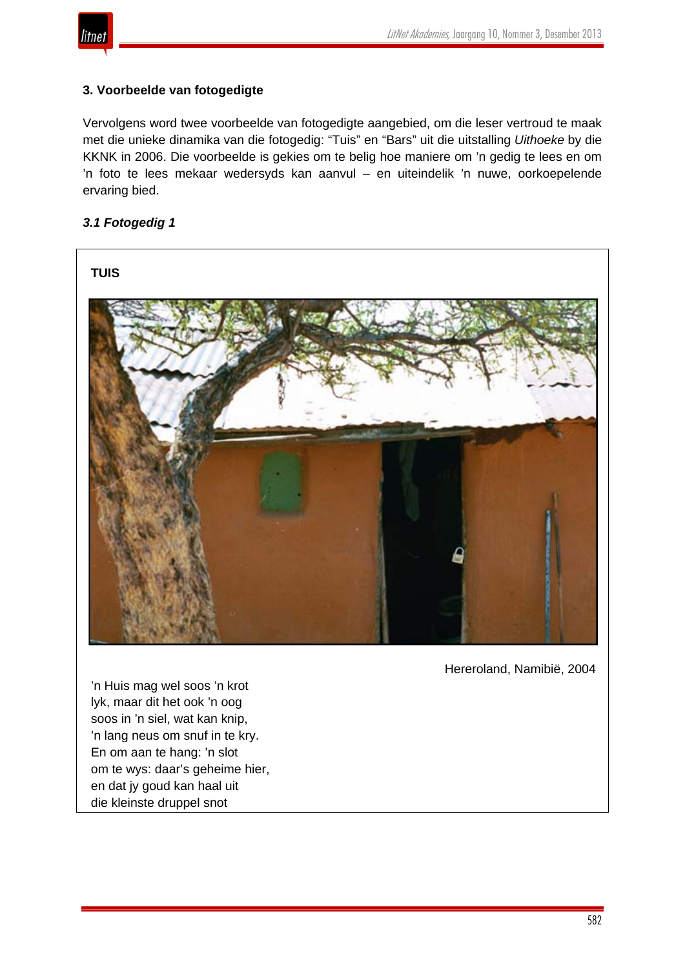

# **3. Voorbeelde van fotogedigte**

Vervolgens word twee voorbeelde van fotogedigte aangebied, om die leser vertroud te maak met die unieke dinamika van die fotogedig: "Tuis" en "Bars" uit die uitstalling *Uithoeke* by die KKNK in 2006. Die voorbeelde is gekies om te belig hoe maniere om 'n gedig te lees en om 'n foto te lees mekaar wedersyds kan aanvul – en uiteindelik 'n nuwe, oorkoepelende ervaring bied.

# *3.1 Fotogedig 1*



Hereroland, Namibië, 2004

'n Huis mag wel soos 'n krot lyk, maar dit het ook 'n oog soos in 'n siel, wat kan knip, 'n lang neus om snuf in te kry. En om aan te hang: 'n slot om te wys: daar's geheime hier, en dat jy goud kan haal uit die kleinste druppel snot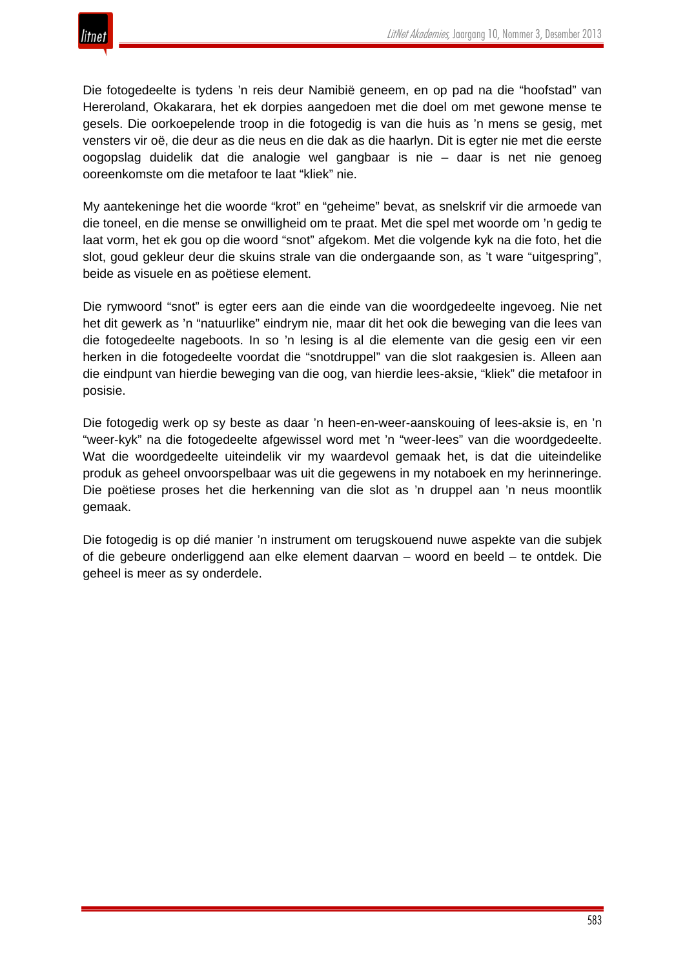

Die fotogedeelte is tydens 'n reis deur Namibië geneem, en op pad na die "hoofstad" van Hereroland, Okakarara, het ek dorpies aangedoen met die doel om met gewone mense te gesels. Die oorkoepelende troop in die fotogedig is van die huis as 'n mens se gesig, met vensters vir oë, die deur as die neus en die dak as die haarlyn. Dit is egter nie met die eerste oogopslag duidelik dat die analogie wel gangbaar is nie – daar is net nie genoeg ooreenkomste om die metafoor te laat "kliek" nie.

My aantekeninge het die woorde "krot" en "geheime" bevat, as snelskrif vir die armoede van die toneel, en die mense se onwilligheid om te praat. Met die spel met woorde om 'n gedig te laat vorm, het ek gou op die woord "snot" afgekom. Met die volgende kyk na die foto, het die slot, goud gekleur deur die skuins strale van die ondergaande son, as 't ware "uitgespring", beide as visuele en as poëtiese element.

Die rymwoord "snot" is egter eers aan die einde van die woordgedeelte ingevoeg. Nie net het dit gewerk as 'n "natuurlike" eindrym nie, maar dit het ook die beweging van die lees van die fotogedeelte nageboots. In so 'n lesing is al die elemente van die gesig een vir een herken in die fotogedeelte voordat die "snotdruppel" van die slot raakgesien is. Alleen aan die eindpunt van hierdie beweging van die oog, van hierdie lees-aksie, "kliek" die metafoor in posisie.

Die fotogedig werk op sy beste as daar 'n heen-en-weer-aanskouing of lees-aksie is, en 'n "weer-kyk" na die fotogedeelte afgewissel word met 'n "weer-lees" van die woordgedeelte. Wat die woordgedeelte uiteindelik vir my waardevol gemaak het, is dat die uiteindelike produk as geheel onvoorspelbaar was uit die gegewens in my notaboek en my herinneringe. Die poëtiese proses het die herkenning van die slot as 'n druppel aan 'n neus moontlik gemaak.

Die fotogedig is op dié manier 'n instrument om terugskouend nuwe aspekte van die subjek of die gebeure onderliggend aan elke element daarvan – woord en beeld – te ontdek. Die geheel is meer as sy onderdele.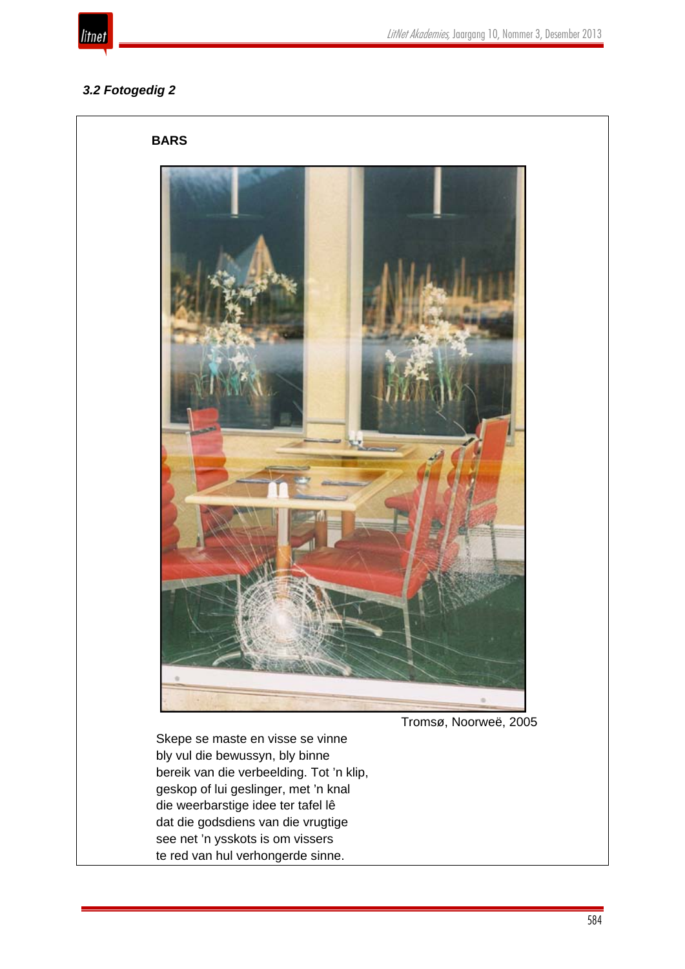

# *3.2 Fotogedig 2*



Tromsø, Noorweë, 2005

Skepe se maste en visse se vinne bly vul die bewussyn, bly binne bereik van die verbeelding. Tot 'n klip, geskop of lui geslinger, met 'n knal die weerbarstige idee ter tafel lê dat die godsdiens van die vrugtige see net 'n ysskots is om vissers te red van hul verhongerde sinne.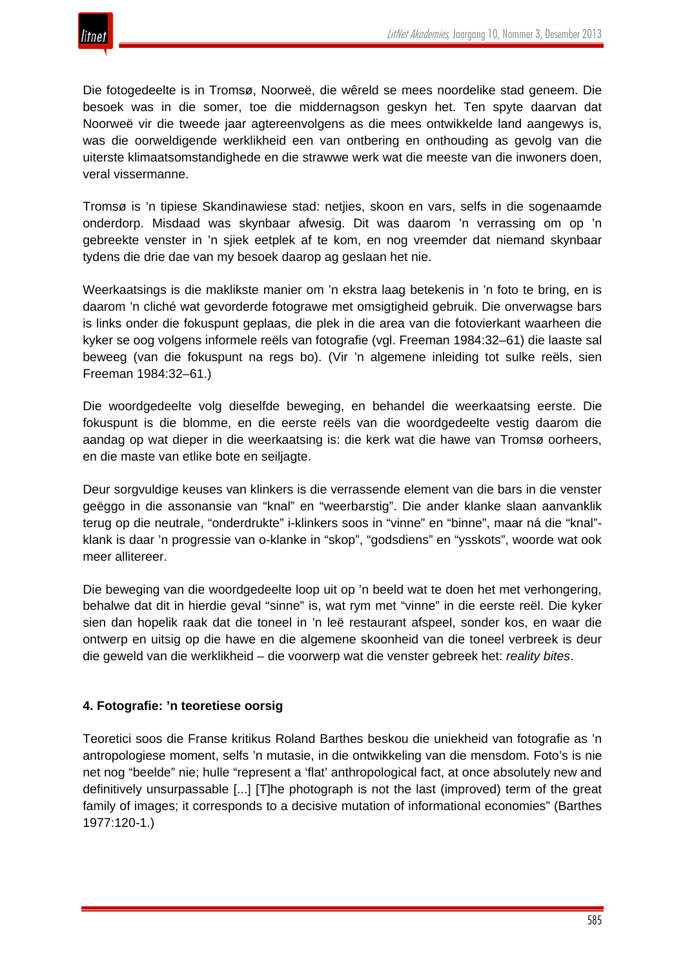

Die fotogedeelte is in Tromsø, Noorweë, die wêreld se mees noordelike stad geneem. Die besoek was in die somer, toe die middernagson geskyn het. Ten spyte daarvan dat Noorweë vir die tweede jaar agtereenvolgens as die mees ontwikkelde land aangewys is, was die oorweldigende werklikheid een van ontbering en onthouding as gevolg van die uiterste klimaatsomstandighede en die strawwe werk wat die meeste van die inwoners doen, veral vissermanne.

Tromsø is 'n tipiese Skandinawiese stad: netjies, skoon en vars, selfs in die sogenaamde onderdorp. Misdaad was skynbaar afwesig. Dit was daarom 'n verrassing om op 'n gebreekte venster in 'n sjiek eetplek af te kom, en nog vreemder dat niemand skynbaar tydens die drie dae van my besoek daarop ag geslaan het nie.

Weerkaatsings is die maklikste manier om 'n ekstra laag betekenis in 'n foto te bring, en is daarom 'n cliché wat gevorderde fotograwe met omsigtigheid gebruik. Die onverwagse bars is links onder die fokuspunt geplaas, die plek in die area van die fotovierkant waarheen die kyker se oog volgens informele reëls van fotografie (vgl. Freeman 1984:32–61) die laaste sal beweeg (van die fokuspunt na regs bo). (Vir 'n algemene inleiding tot sulke reëls, sien Freeman 1984:32–61.)

Die woordgedeelte volg dieselfde beweging, en behandel die weerkaatsing eerste. Die fokuspunt is die blomme, en die eerste reëls van die woordgedeelte vestig daarom die aandag op wat dieper in die weerkaatsing is: die kerk wat die hawe van Tromsø oorheers, en die maste van etlike bote en seiljagte.

Deur sorgvuldige keuses van klinkers is die verrassende element van die bars in die venster geëggo in die assonansie van "knal" en "weerbarstig". Die ander klanke slaan aanvanklik terug op die neutrale, "onderdrukte" i-klinkers soos in "vinne" en "binne", maar ná die "knal" klank is daar 'n progressie van o-klanke in "skop", "godsdiens" en "ysskots", woorde wat ook meer allitereer.

Die beweging van die woordgedeelte loop uit op 'n beeld wat te doen het met verhongering, behalwe dat dit in hierdie geval "sinne" is, wat rym met "vinne" in die eerste reël. Die kyker sien dan hopelik raak dat die toneel in 'n leë restaurant afspeel, sonder kos, en waar die ontwerp en uitsig op die hawe en die algemene skoonheid van die toneel verbreek is deur die geweld van die werklikheid – die voorwerp wat die venster gebreek het: *reality bites*.

# **4. Fotografie: 'n teoretiese oorsig**

Teoretici soos die Franse kritikus Roland Barthes beskou die uniekheid van fotografie as 'n antropologiese moment, selfs 'n mutasie, in die ontwikkeling van die mensdom. Foto's is nie net nog "beelde" nie; hulle "represent a 'flat' anthropological fact, at once absolutely new and definitively unsurpassable [...] [T]he photograph is not the last (improved) term of the great family of images; it corresponds to a decisive mutation of informational economies" (Barthes 1977:120-1.)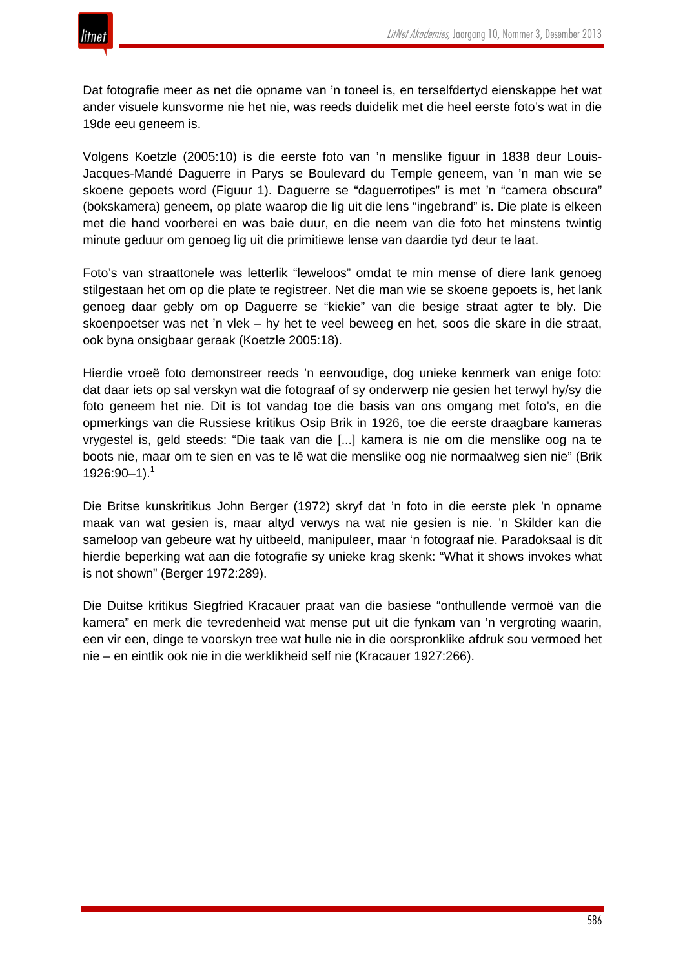Dat fotografie meer as net die opname van 'n toneel is, en terselfdertyd eienskappe het wat ander visuele kunsvorme nie het nie, was reeds duidelik met die heel eerste foto's wat in die 19de eeu geneem is.

Volgens Koetzle (2005:10) is die eerste foto van 'n menslike figuur in 1838 deur Louis-Jacques-Mandé Daguerre in Parys se Boulevard du Temple geneem, van 'n man wie se skoene gepoets word (Figuur 1). Daguerre se "daguerrotipes" is met 'n "camera obscura" (bokskamera) geneem, op plate waarop die lig uit die lens "ingebrand" is. Die plate is elkeen met die hand voorberei en was baie duur, en die neem van die foto het minstens twintig minute geduur om genoeg lig uit die primitiewe lense van daardie tyd deur te laat.

Foto's van straattonele was letterlik "leweloos" omdat te min mense of diere lank genoeg stilgestaan het om op die plate te registreer. Net die man wie se skoene gepoets is, het lank genoeg daar gebly om op Daguerre se "kiekie" van die besige straat agter te bly. Die skoenpoetser was net 'n vlek – hy het te veel beweeg en het, soos die skare in die straat, ook byna onsigbaar geraak (Koetzle 2005:18).

Hierdie vroeë foto demonstreer reeds 'n eenvoudige, dog unieke kenmerk van enige foto: dat daar iets op sal verskyn wat die fotograaf of sy onderwerp nie gesien het terwyl hy/sy die foto geneem het nie. Dit is tot vandag toe die basis van ons omgang met foto's, en die opmerkings van die Russiese kritikus Osip Brik in 1926, toe die eerste draagbare kameras vrygestel is, geld steeds: "Die taak van die [...] kamera is nie om die menslike oog na te boots nie, maar om te sien en vas te lê wat die menslike oog nie normaalweg sien nie" (Brik  $1926:90-1$ .<sup>1</sup>

Die Britse kunskritikus John Berger (1972) skryf dat 'n foto in die eerste plek 'n opname maak van wat gesien is, maar altyd verwys na wat nie gesien is nie. 'n Skilder kan die sameloop van gebeure wat hy uitbeeld, manipuleer, maar 'n fotograaf nie. Paradoksaal is dit hierdie beperking wat aan die fotografie sy unieke krag skenk: "What it shows invokes what is not shown" (Berger 1972:289).

Die Duitse kritikus Siegfried Kracauer praat van die basiese "onthullende vermoë van die kamera" en merk die tevredenheid wat mense put uit die fynkam van 'n vergroting waarin, een vir een, dinge te voorskyn tree wat hulle nie in die oorspronklike afdruk sou vermoed het nie – en eintlik ook nie in die werklikheid self nie (Kracauer 1927:266).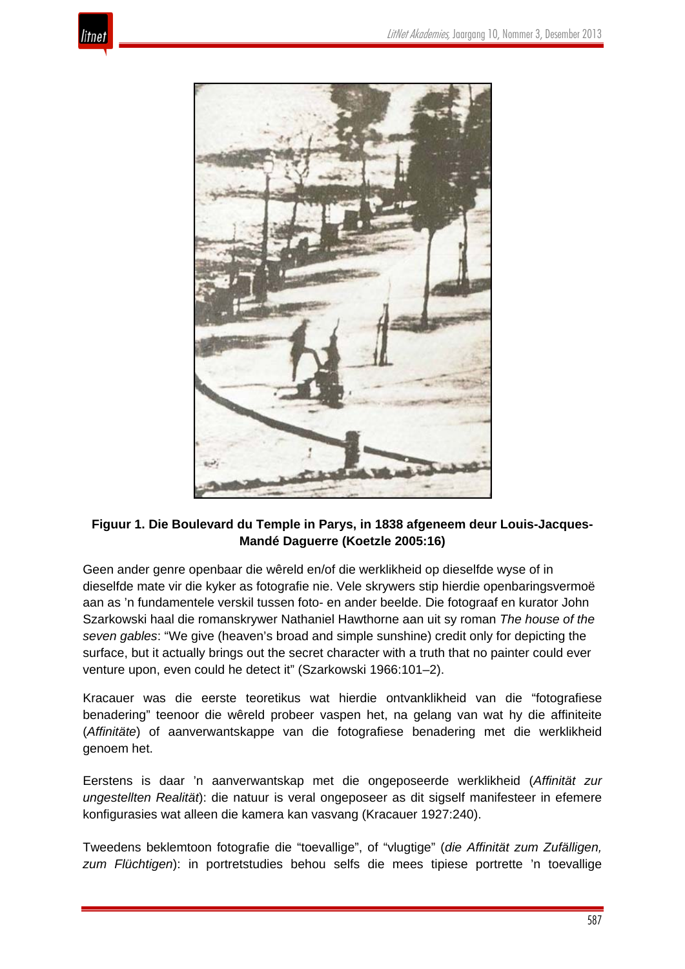



# **Figuur 1. Die Boulevard du Temple in Parys, in 1838 afgeneem deur Louis-Jacques-Mandé Daguerre (Koetzle 2005:16)**

Geen ander genre openbaar die wêreld en/of die werklikheid op dieselfde wyse of in dieselfde mate vir die kyker as fotografie nie. Vele skrywers stip hierdie openbaringsvermoë aan as 'n fundamentele verskil tussen foto- en ander beelde. Die fotograaf en kurator John Szarkowski haal die romanskrywer Nathaniel Hawthorne aan uit sy roman *The house of the seven gables*: "We give (heaven's broad and simple sunshine) credit only for depicting the surface, but it actually brings out the secret character with a truth that no painter could ever venture upon, even could he detect it" (Szarkowski 1966:101–2).

Kracauer was die eerste teoretikus wat hierdie ontvanklikheid van die "fotografiese benadering" teenoor die wêreld probeer vaspen het, na gelang van wat hy die affiniteite (*Affinitäte*) of aanverwantskappe van die fotografiese benadering met die werklikheid genoem het.

Eerstens is daar 'n aanverwantskap met die ongeposeerde werklikheid (*Affinität zur ungestellten Realität*): die natuur is veral ongeposeer as dit sigself manifesteer in efemere konfigurasies wat alleen die kamera kan vasvang (Kracauer 1927:240).

Tweedens beklemtoon fotografie die "toevallige", of "vlugtige" (*die Affinität zum Zufälligen, zum Flüchtigen*): in portretstudies behou selfs die mees tipiese portrette 'n toevallige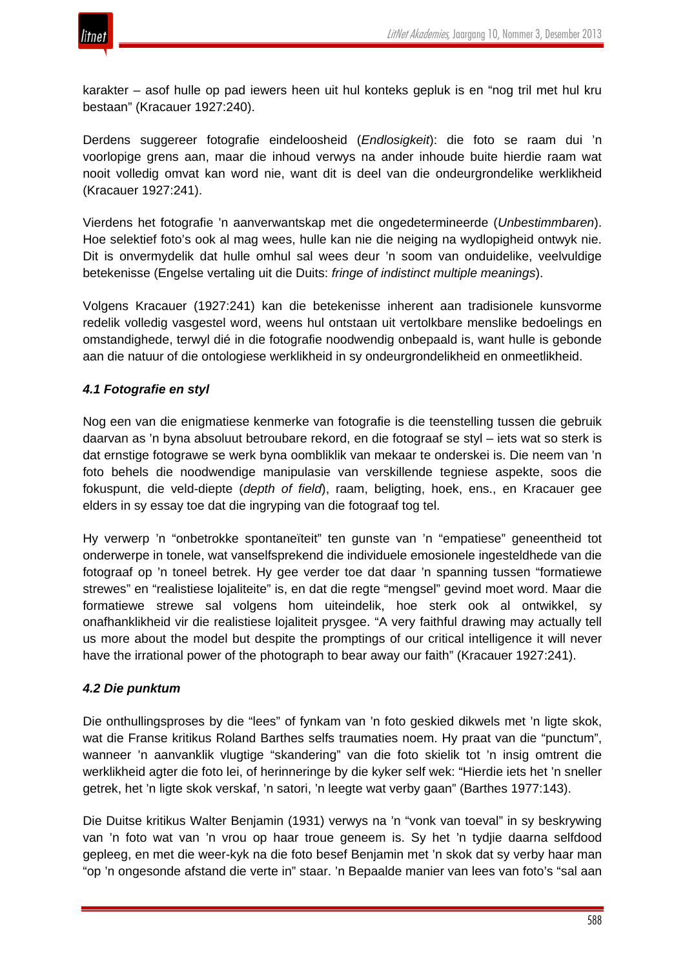

karakter – asof hulle op pad iewers heen uit hul konteks gepluk is en "nog tril met hul kru bestaan" (Kracauer 1927:240).

Derdens suggereer fotografie eindeloosheid (*Endlosigkeit*): die foto se raam dui 'n voorlopige grens aan, maar die inhoud verwys na ander inhoude buite hierdie raam wat nooit volledig omvat kan word nie, want dit is deel van die ondeurgrondelike werklikheid (Kracauer 1927:241).

Vierdens het fotografie 'n aanverwantskap met die ongedetermineerde (*Unbestimmbaren*). Hoe selektief foto's ook al mag wees, hulle kan nie die neiging na wydlopigheid ontwyk nie. Dit is onvermydelik dat hulle omhul sal wees deur 'n soom van onduidelike, veelvuldige betekenisse (Engelse vertaling uit die Duits: *fringe of indistinct multiple meanings*).

Volgens Kracauer (1927:241) kan die betekenisse inherent aan tradisionele kunsvorme redelik volledig vasgestel word, weens hul ontstaan uit vertolkbare menslike bedoelings en omstandighede, terwyl dié in die fotografie noodwendig onbepaald is, want hulle is gebonde aan die natuur of die ontologiese werklikheid in sy ondeurgrondelikheid en onmeetlikheid.

# *4.1 Fotografie en styl*

Nog een van die enigmatiese kenmerke van fotografie is die teenstelling tussen die gebruik daarvan as 'n byna absoluut betroubare rekord, en die fotograaf se styl – iets wat so sterk is dat ernstige fotograwe se werk byna oombliklik van mekaar te onderskei is. Die neem van 'n foto behels die noodwendige manipulasie van verskillende tegniese aspekte, soos die fokuspunt, die veld-diepte (*depth of field*), raam, beligting, hoek, ens., en Kracauer gee elders in sy essay toe dat die ingryping van die fotograaf tog tel.

Hy verwerp 'n "onbetrokke spontaneïteit" ten gunste van 'n "empatiese" geneentheid tot onderwerpe in tonele, wat vanselfsprekend die individuele emosionele ingesteldhede van die fotograaf op 'n toneel betrek. Hy gee verder toe dat daar 'n spanning tussen "formatiewe strewes" en "realistiese lojaliteite" is, en dat die regte "mengsel" gevind moet word. Maar die formatiewe strewe sal volgens hom uiteindelik, hoe sterk ook al ontwikkel, sy onafhanklikheid vir die realistiese lojaliteit prysgee. "A very faithful drawing may actually tell us more about the model but despite the promptings of our critical intelligence it will never have the irrational power of the photograph to bear away our faith" (Kracauer 1927:241).

#### *4.2 Die punktum*

Die onthullingsproses by die "lees" of fynkam van 'n foto geskied dikwels met 'n ligte skok, wat die Franse kritikus Roland Barthes selfs traumaties noem. Hy praat van die "punctum", wanneer 'n aanvanklik vlugtige "skandering" van die foto skielik tot 'n insig omtrent die werklikheid agter die foto lei, of herinneringe by die kyker self wek: "Hierdie iets het 'n sneller getrek, het 'n ligte skok verskaf, 'n satori, 'n leegte wat verby gaan" (Barthes 1977:143).

Die Duitse kritikus Walter Benjamin (1931) verwys na 'n "vonk van toeval" in sy beskrywing van 'n foto wat van 'n vrou op haar troue geneem is. Sy het 'n tydjie daarna selfdood gepleeg, en met die weer-kyk na die foto besef Benjamin met 'n skok dat sy verby haar man "op 'n ongesonde afstand die verte in" staar. 'n Bepaalde manier van lees van foto's "sal aan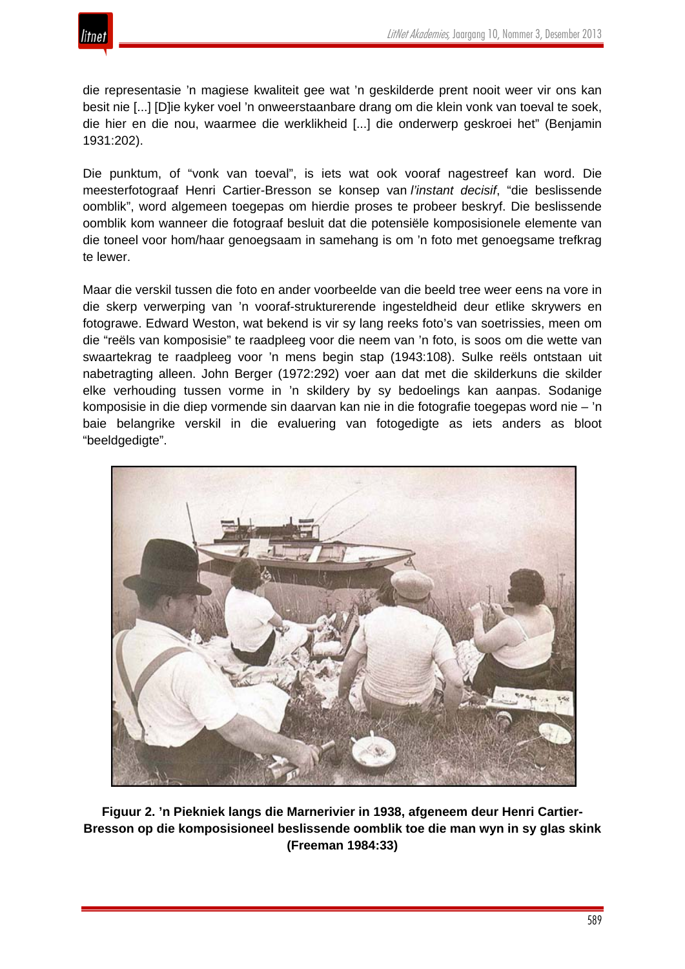

die representasie 'n magiese kwaliteit gee wat 'n geskilderde prent nooit weer vir ons kan besit nie [...] [D]ie kyker voel 'n onweerstaanbare drang om die klein vonk van toeval te soek, die hier en die nou, waarmee die werklikheid [...] die onderwerp geskroei het" (Benjamin 1931:202).

Die punktum, of "vonk van toeval", is iets wat ook vooraf nagestreef kan word. Die meesterfotograaf Henri Cartier-Bresson se konsep van *l'instant decisif*, "die beslissende oomblik", word algemeen toegepas om hierdie proses te probeer beskryf. Die beslissende oomblik kom wanneer die fotograaf besluit dat die potensiële komposisionele elemente van die toneel voor hom/haar genoegsaam in samehang is om 'n foto met genoegsame trefkrag te lewer.

Maar die verskil tussen die foto en ander voorbeelde van die beeld tree weer eens na vore in die skerp verwerping van 'n vooraf-strukturerende ingesteldheid deur etlike skrywers en fotograwe. Edward Weston, wat bekend is vir sy lang reeks foto's van soetrissies, meen om die "reëls van komposisie" te raadpleeg voor die neem van 'n foto, is soos om die wette van swaartekrag te raadpleeg voor 'n mens begin stap (1943:108). Sulke reëls ontstaan uit nabetragting alleen. John Berger (1972:292) voer aan dat met die skilderkuns die skilder elke verhouding tussen vorme in 'n skildery by sy bedoelings kan aanpas. Sodanige komposisie in die diep vormende sin daarvan kan nie in die fotografie toegepas word nie – 'n baie belangrike verskil in die evaluering van fotogedigte as iets anders as bloot "beeldgedigte".



**Figuur 2. 'n Piekniek langs die Marnerivier in 1938, afgeneem deur Henri Cartier-Bresson op die komposisioneel beslissende oomblik toe die man wyn in sy glas skink (Freeman 1984:33)**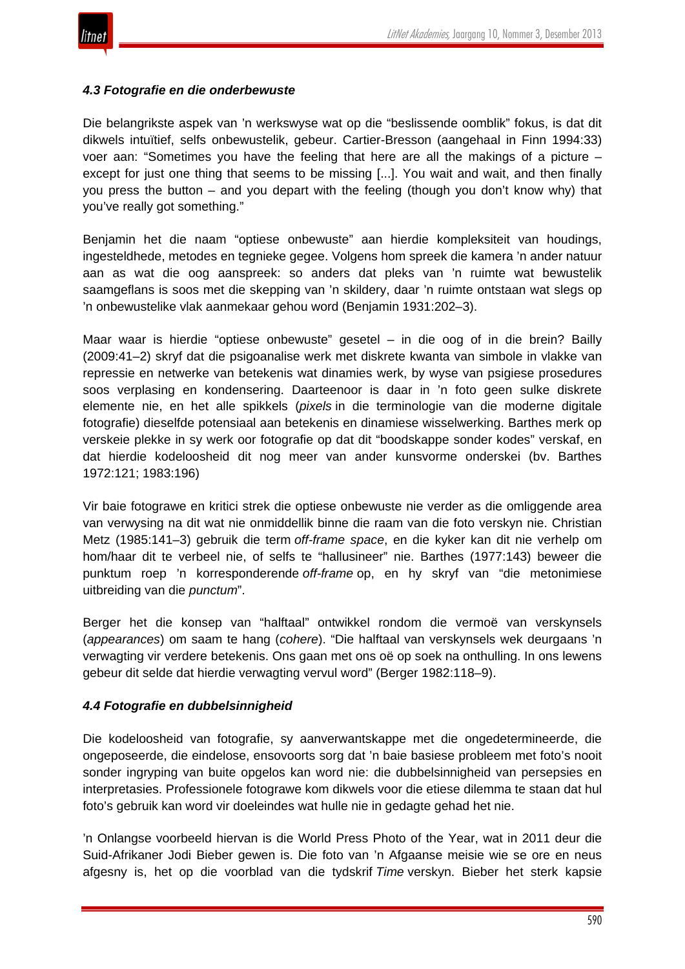

#### *4.3 Fotografie en die onderbewuste*

Die belangrikste aspek van 'n werkswyse wat op die "beslissende oomblik" fokus, is dat dit dikwels intuïtief, selfs onbewustelik, gebeur. Cartier-Bresson (aangehaal in Finn 1994:33) voer aan: "Sometimes you have the feeling that here are all the makings of a picture – except for just one thing that seems to be missing [...]. You wait and wait, and then finally you press the button – and you depart with the feeling (though you don't know why) that you've really got something."

Benjamin het die naam "optiese onbewuste" aan hierdie kompleksiteit van houdings, ingesteldhede, metodes en tegnieke gegee. Volgens hom spreek die kamera 'n ander natuur aan as wat die oog aanspreek: so anders dat pleks van 'n ruimte wat bewustelik saamgeflans is soos met die skepping van 'n skildery, daar 'n ruimte ontstaan wat slegs op 'n onbewustelike vlak aanmekaar gehou word (Benjamin 1931:202–3).

Maar waar is hierdie "optiese onbewuste" gesetel – in die oog of in die brein? Bailly (2009:41–2) skryf dat die psigoanalise werk met diskrete kwanta van simbole in vlakke van repressie en netwerke van betekenis wat dinamies werk, by wyse van psigiese prosedures soos verplasing en kondensering. Daarteenoor is daar in 'n foto geen sulke diskrete elemente nie, en het alle spikkels (*pixels* in die terminologie van die moderne digitale fotografie) dieselfde potensiaal aan betekenis en dinamiese wisselwerking. Barthes merk op verskeie plekke in sy werk oor fotografie op dat dit "boodskappe sonder kodes" verskaf, en dat hierdie kodeloosheid dit nog meer van ander kunsvorme onderskei (bv. Barthes 1972:121; 1983:196)

Vir baie fotograwe en kritici strek die optiese onbewuste nie verder as die omliggende area van verwysing na dit wat nie onmiddellik binne die raam van die foto verskyn nie. Christian Metz (1985:141–3) gebruik die term *off-frame space*, en die kyker kan dit nie verhelp om hom/haar dit te verbeel nie, of selfs te "hallusineer" nie. Barthes (1977:143) beweer die punktum roep 'n korresponderende *off-frame* op, en hy skryf van "die metonimiese uitbreiding van die *punctum*".

Berger het die konsep van "halftaal" ontwikkel rondom die vermoë van verskynsels (*appearances*) om saam te hang (*cohere*). "Die halftaal van verskynsels wek deurgaans 'n verwagting vir verdere betekenis. Ons gaan met ons oë op soek na onthulling. In ons lewens gebeur dit selde dat hierdie verwagting vervul word" (Berger 1982:118–9).

#### *4.4 Fotografie en dubbelsinnigheid*

Die kodeloosheid van fotografie, sy aanverwantskappe met die ongedetermineerde, die ongeposeerde, die eindelose, ensovoorts sorg dat 'n baie basiese probleem met foto's nooit sonder ingryping van buite opgelos kan word nie: die dubbelsinnigheid van persepsies en interpretasies. Professionele fotograwe kom dikwels voor die etiese dilemma te staan dat hul foto's gebruik kan word vir doeleindes wat hulle nie in gedagte gehad het nie.

'n Onlangse voorbeeld hiervan is die World Press Photo of the Year, wat in 2011 deur die Suid-Afrikaner Jodi Bieber gewen is. Die foto van 'n Afgaanse meisie wie se ore en neus afgesny is, het op die voorblad van die tydskrif *Time* verskyn. Bieber het sterk kapsie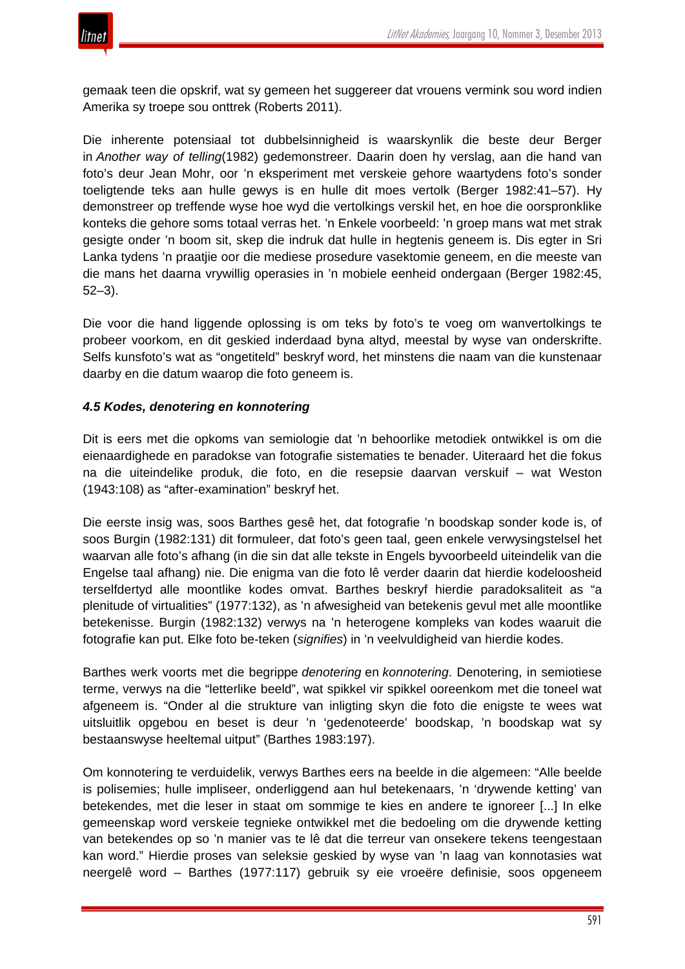

gemaak teen die opskrif, wat sy gemeen het suggereer dat vrouens vermink sou word indien Amerika sy troepe sou onttrek (Roberts 2011).

Die inherente potensiaal tot dubbelsinnigheid is waarskynlik die beste deur Berger in *Another way of telling*(1982) gedemonstreer. Daarin doen hy verslag, aan die hand van foto's deur Jean Mohr, oor 'n eksperiment met verskeie gehore waartydens foto's sonder toeligtende teks aan hulle gewys is en hulle dit moes vertolk (Berger 1982:41–57). Hy demonstreer op treffende wyse hoe wyd die vertolkings verskil het, en hoe die oorspronklike konteks die gehore soms totaal verras het. 'n Enkele voorbeeld: 'n groep mans wat met strak gesigte onder 'n boom sit, skep die indruk dat hulle in hegtenis geneem is. Dis egter in Sri Lanka tydens 'n praatjie oor die mediese prosedure vasektomie geneem, en die meeste van die mans het daarna vrywillig operasies in 'n mobiele eenheid ondergaan (Berger 1982:45, 52–3).

Die voor die hand liggende oplossing is om teks by foto's te voeg om wanvertolkings te probeer voorkom, en dit geskied inderdaad byna altyd, meestal by wyse van onderskrifte. Selfs kunsfoto's wat as "ongetiteld" beskryf word, het minstens die naam van die kunstenaar daarby en die datum waarop die foto geneem is.

# *4.5 Kodes, denotering en konnotering*

Dit is eers met die opkoms van semiologie dat 'n behoorlike metodiek ontwikkel is om die eienaardighede en paradokse van fotografie sistematies te benader. Uiteraard het die fokus na die uiteindelike produk, die foto, en die resepsie daarvan verskuif – wat Weston (1943:108) as "after-examination" beskryf het.

Die eerste insig was, soos Barthes gesê het, dat fotografie 'n boodskap sonder kode is, of soos Burgin (1982:131) dit formuleer, dat foto's geen taal, geen enkele verwysingstelsel het waarvan alle foto's afhang (in die sin dat alle tekste in Engels byvoorbeeld uiteindelik van die Engelse taal afhang) nie. Die enigma van die foto lê verder daarin dat hierdie kodeloosheid terselfdertyd alle moontlike kodes omvat. Barthes beskryf hierdie paradoksaliteit as "a plenitude of virtualities" (1977:132), as 'n afwesigheid van betekenis gevul met alle moontlike betekenisse. Burgin (1982:132) verwys na 'n heterogene kompleks van kodes waaruit die fotografie kan put. Elke foto be-teken (*signifies*) in 'n veelvuldigheid van hierdie kodes.

Barthes werk voorts met die begrippe *denotering* en *konnotering*. Denotering, in semiotiese terme, verwys na die "letterlike beeld", wat spikkel vir spikkel ooreenkom met die toneel wat afgeneem is. "Onder al die strukture van inligting skyn die foto die enigste te wees wat uitsluitlik opgebou en beset is deur 'n 'gedenoteerde' boodskap, 'n boodskap wat sy bestaanswyse heeltemal uitput" (Barthes 1983:197).

Om konnotering te verduidelik, verwys Barthes eers na beelde in die algemeen: "Alle beelde is polisemies; hulle impliseer, onderliggend aan hul betekenaars, 'n 'drywende ketting' van betekendes, met die leser in staat om sommige te kies en andere te ignoreer [...] In elke gemeenskap word verskeie tegnieke ontwikkel met die bedoeling om die drywende ketting van betekendes op so 'n manier vas te lê dat die terreur van onsekere tekens teengestaan kan word." Hierdie proses van seleksie geskied by wyse van 'n laag van konnotasies wat neergelê word – Barthes (1977:117) gebruik sy eie vroeëre definisie, soos opgeneem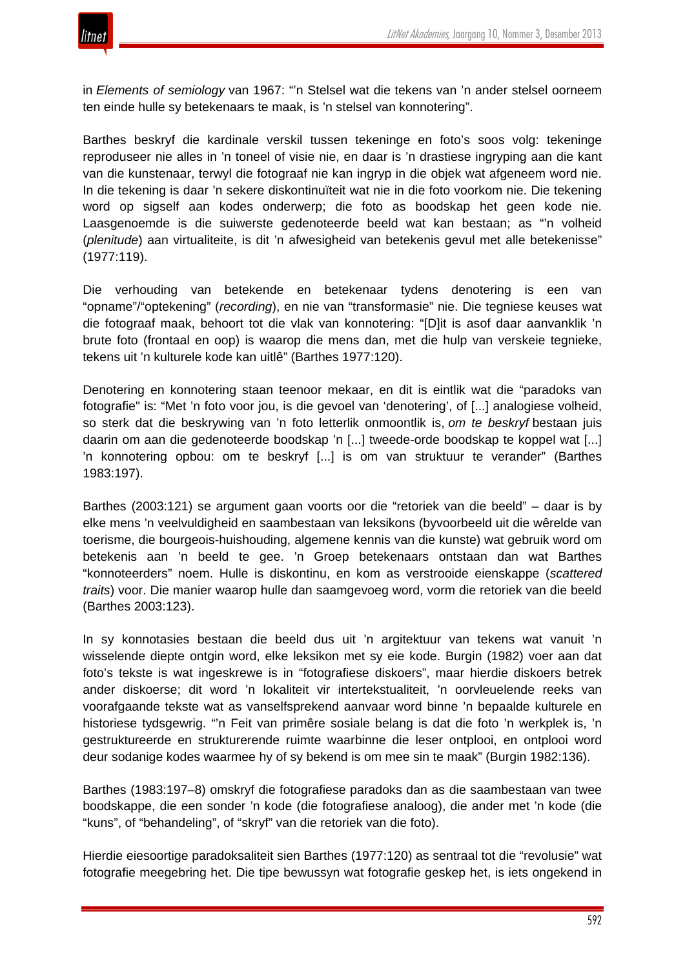

in *Elements of semiology* van 1967: "'n Stelsel wat die tekens van 'n ander stelsel oorneem ten einde hulle sy betekenaars te maak, is 'n stelsel van konnotering".

Barthes beskryf die kardinale verskil tussen tekeninge en foto's soos volg: tekeninge reproduseer nie alles in 'n toneel of visie nie, en daar is 'n drastiese ingryping aan die kant van die kunstenaar, terwyl die fotograaf nie kan ingryp in die objek wat afgeneem word nie. In die tekening is daar 'n sekere diskontinuïteit wat nie in die foto voorkom nie. Die tekening word op sigself aan kodes onderwerp; die foto as boodskap het geen kode nie. Laasgenoemde is die suiwerste gedenoteerde beeld wat kan bestaan; as "'n volheid (*plenitude*) aan virtualiteite, is dit 'n afwesigheid van betekenis gevul met alle betekenisse" (1977:119).

Die verhouding van betekende en betekenaar tydens denotering is een van "opname"/"optekening" (*recording*), en nie van "transformasie" nie. Die tegniese keuses wat die fotograaf maak, behoort tot die vlak van konnotering: "[D]it is asof daar aanvanklik 'n brute foto (frontaal en oop) is waarop die mens dan, met die hulp van verskeie tegnieke, tekens uit 'n kulturele kode kan uitlê" (Barthes 1977:120).

Denotering en konnotering staan teenoor mekaar, en dit is eintlik wat die "paradoks van fotografie" is: "Met 'n foto voor jou, is die gevoel van 'denotering', of [...] analogiese volheid, so sterk dat die beskrywing van 'n foto letterlik onmoontlik is, *om te beskryf* bestaan juis daarin om aan die gedenoteerde boodskap 'n [...] tweede-orde boodskap te koppel wat [...] 'n konnotering opbou: om te beskryf [...] is om van struktuur te verander" (Barthes 1983:197).

Barthes (2003:121) se argument gaan voorts oor die "retoriek van die beeld" – daar is by elke mens 'n veelvuldigheid en saambestaan van leksikons (byvoorbeeld uit die wêrelde van toerisme, die bourgeois-huishouding, algemene kennis van die kunste) wat gebruik word om betekenis aan 'n beeld te gee. 'n Groep betekenaars ontstaan dan wat Barthes "konnoteerders" noem. Hulle is diskontinu, en kom as verstrooide eienskappe (*scattered traits*) voor. Die manier waarop hulle dan saamgevoeg word, vorm die retoriek van die beeld (Barthes 2003:123).

In sy konnotasies bestaan die beeld dus uit 'n argitektuur van tekens wat vanuit 'n wisselende diepte ontgin word, elke leksikon met sy eie kode. Burgin (1982) voer aan dat foto's tekste is wat ingeskrewe is in "fotografiese diskoers", maar hierdie diskoers betrek ander diskoerse; dit word 'n lokaliteit vir intertekstualiteit, 'n oorvleuelende reeks van voorafgaande tekste wat as vanselfsprekend aanvaar word binne 'n bepaalde kulturele en historiese tydsgewrig. "'n Feit van primêre sosiale belang is dat die foto 'n werkplek is, 'n gestruktureerde en strukturerende ruimte waarbinne die leser ontplooi, en ontplooi word deur sodanige kodes waarmee hy of sy bekend is om mee sin te maak" (Burgin 1982:136).

Barthes (1983:197–8) omskryf die fotografiese paradoks dan as die saambestaan van twee boodskappe, die een sonder 'n kode (die fotografiese analoog), die ander met 'n kode (die "kuns", of "behandeling", of "skryf" van die retoriek van die foto).

Hierdie eiesoortige paradoksaliteit sien Barthes (1977:120) as sentraal tot die "revolusie" wat fotografie meegebring het. Die tipe bewussyn wat fotografie geskep het, is iets ongekend in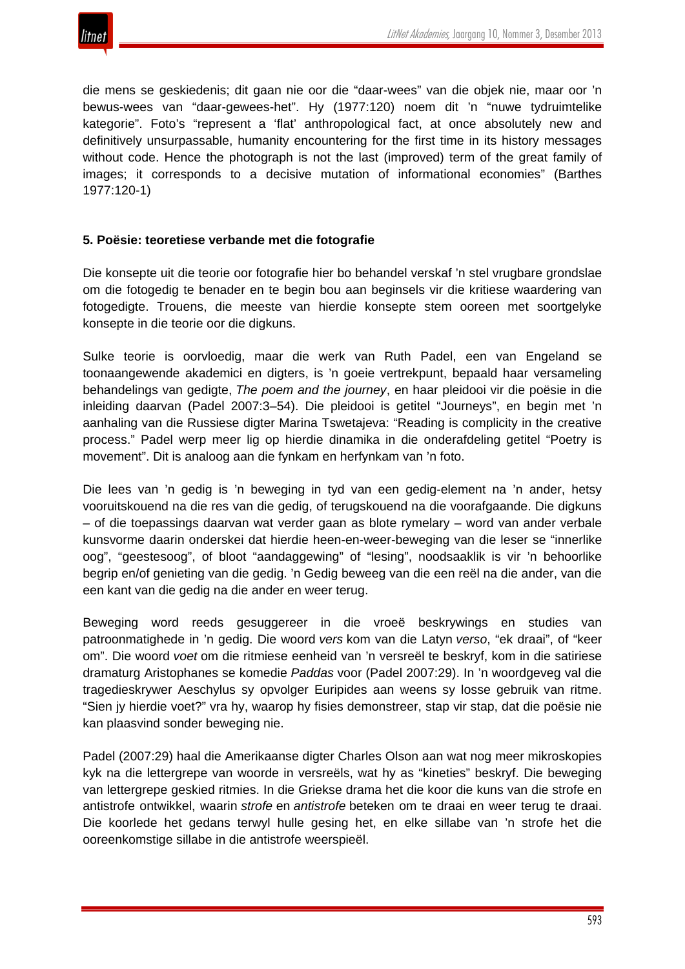

die mens se geskiedenis; dit gaan nie oor die "daar-wees" van die objek nie, maar oor 'n bewus-wees van "daar-gewees-het". Hy (1977:120) noem dit 'n "nuwe tydruimtelike kategorie". Foto's "represent a 'flat' anthropological fact, at once absolutely new and definitively unsurpassable, humanity encountering for the first time in its history messages without code. Hence the photograph is not the last (improved) term of the great family of images; it corresponds to a decisive mutation of informational economies" (Barthes 1977:120-1)

#### **5. Poësie: teoretiese verbande met die fotografie**

Die konsepte uit die teorie oor fotografie hier bo behandel verskaf 'n stel vrugbare grondslae om die fotogedig te benader en te begin bou aan beginsels vir die kritiese waardering van fotogedigte. Trouens, die meeste van hierdie konsepte stem ooreen met soortgelyke konsepte in die teorie oor die digkuns.

Sulke teorie is oorvloedig, maar die werk van Ruth Padel, een van Engeland se toonaangewende akademici en digters, is 'n goeie vertrekpunt, bepaald haar versameling behandelings van gedigte, *The poem and the journey*, en haar pleidooi vir die poësie in die inleiding daarvan (Padel 2007:3–54). Die pleidooi is getitel "Journeys", en begin met 'n aanhaling van die Russiese digter Marina Tswetajeva: "Reading is complicity in the creative process." Padel werp meer lig op hierdie dinamika in die onderafdeling getitel "Poetry is movement". Dit is analoog aan die fynkam en herfynkam van 'n foto.

Die lees van 'n gedig is 'n beweging in tyd van een gedig-element na 'n ander, hetsy vooruitskouend na die res van die gedig, of terugskouend na die voorafgaande. Die digkuns – of die toepassings daarvan wat verder gaan as blote rymelary – word van ander verbale kunsvorme daarin onderskei dat hierdie heen-en-weer-beweging van die leser se "innerlike oog", "geestesoog", of bloot "aandaggewing" of "lesing", noodsaaklik is vir 'n behoorlike begrip en/of genieting van die gedig. 'n Gedig beweeg van die een reël na die ander, van die een kant van die gedig na die ander en weer terug.

Beweging word reeds gesuggereer in die vroeë beskrywings en studies van patroonmatighede in 'n gedig. Die woord *vers* kom van die Latyn *verso*, "ek draai", of "keer om". Die woord *voet* om die ritmiese eenheid van 'n versreël te beskryf, kom in die satiriese dramaturg Aristophanes se komedie *Paddas* voor (Padel 2007:29). In 'n woordgeveg val die tragedieskrywer Aeschylus sy opvolger Euripides aan weens sy losse gebruik van ritme. "Sien jy hierdie voet?" vra hy, waarop hy fisies demonstreer, stap vir stap, dat die poësie nie kan plaasvind sonder beweging nie.

Padel (2007:29) haal die Amerikaanse digter Charles Olson aan wat nog meer mikroskopies kyk na die lettergrepe van woorde in versreëls, wat hy as "kineties" beskryf. Die beweging van lettergrepe geskied ritmies. In die Griekse drama het die koor die kuns van die strofe en antistrofe ontwikkel, waarin *strofe* en *antistrofe* beteken om te draai en weer terug te draai. Die koorlede het gedans terwyl hulle gesing het, en elke sillabe van 'n strofe het die ooreenkomstige sillabe in die antistrofe weerspieël.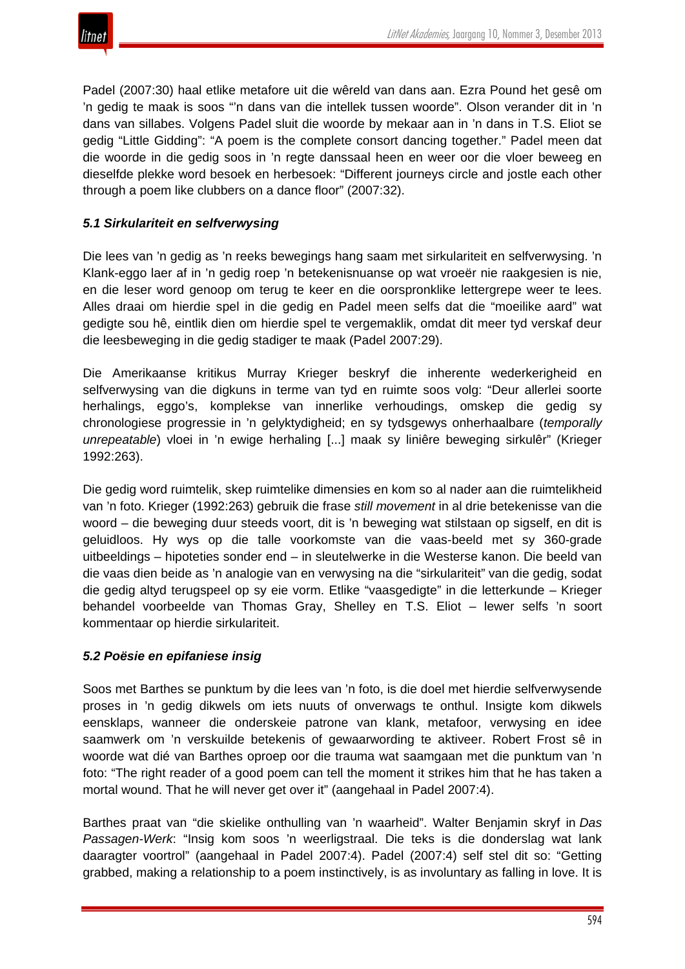

Padel (2007:30) haal etlike metafore uit die wêreld van dans aan. Ezra Pound het gesê om 'n gedig te maak is soos "'n dans van die intellek tussen woorde". Olson verander dit in 'n dans van sillabes. Volgens Padel sluit die woorde by mekaar aan in 'n dans in T.S. Eliot se gedig "Little Gidding": "A poem is the complete consort dancing together." Padel meen dat die woorde in die gedig soos in 'n regte danssaal heen en weer oor die vloer beweeg en dieselfde plekke word besoek en herbesoek: "Different journeys circle and jostle each other through a poem like clubbers on a dance floor" (2007:32).

# *5.1 Sirkulariteit en selfverwysing*

Die lees van 'n gedig as 'n reeks bewegings hang saam met sirkulariteit en selfverwysing. 'n Klank-eggo laer af in 'n gedig roep 'n betekenisnuanse op wat vroeër nie raakgesien is nie, en die leser word genoop om terug te keer en die oorspronklike lettergrepe weer te lees. Alles draai om hierdie spel in die gedig en Padel meen selfs dat die "moeilike aard" wat gedigte sou hê, eintlik dien om hierdie spel te vergemaklik, omdat dit meer tyd verskaf deur die leesbeweging in die gedig stadiger te maak (Padel 2007:29).

Die Amerikaanse kritikus Murray Krieger beskryf die inherente wederkerigheid en selfverwysing van die digkuns in terme van tyd en ruimte soos volg: "Deur allerlei soorte herhalings, eggo's, komplekse van innerlike verhoudings, omskep die gedig sy chronologiese progressie in 'n gelyktydigheid; en sy tydsgewys onherhaalbare (*temporally unrepeatable*) vloei in 'n ewige herhaling [...] maak sy liniêre beweging sirkulêr" (Krieger 1992:263).

Die gedig word ruimtelik, skep ruimtelike dimensies en kom so al nader aan die ruimtelikheid van 'n foto. Krieger (1992:263) gebruik die frase *still movement* in al drie betekenisse van die woord – die beweging duur steeds voort, dit is 'n beweging wat stilstaan op sigself, en dit is geluidloos. Hy wys op die talle voorkomste van die vaas-beeld met sy 360-grade uitbeeldings – hipoteties sonder end – in sleutelwerke in die Westerse kanon. Die beeld van die vaas dien beide as 'n analogie van en verwysing na die "sirkulariteit" van die gedig, sodat die gedig altyd terugspeel op sy eie vorm. Etlike "vaasgedigte" in die letterkunde – Krieger behandel voorbeelde van Thomas Gray, Shelley en T.S. Eliot – lewer selfs 'n soort kommentaar op hierdie sirkulariteit.

#### *5.2 Poësie en epifaniese insig*

Soos met Barthes se punktum by die lees van 'n foto, is die doel met hierdie selfverwysende proses in 'n gedig dikwels om iets nuuts of onverwags te onthul. Insigte kom dikwels eensklaps, wanneer die onderskeie patrone van klank, metafoor, verwysing en idee saamwerk om 'n verskuilde betekenis of gewaarwording te aktiveer. Robert Frost sê in woorde wat dié van Barthes oproep oor die trauma wat saamgaan met die punktum van 'n foto: "The right reader of a good poem can tell the moment it strikes him that he has taken a mortal wound. That he will never get over it" (aangehaal in Padel 2007:4).

Barthes praat van "die skielike onthulling van 'n waarheid". Walter Benjamin skryf in *Das Passagen-Werk*: "Insig kom soos 'n weerligstraal. Die teks is die donderslag wat lank daaragter voortrol" (aangehaal in Padel 2007:4). Padel (2007:4) self stel dit so: "Getting grabbed, making a relationship to a poem instinctively, is as involuntary as falling in love. It is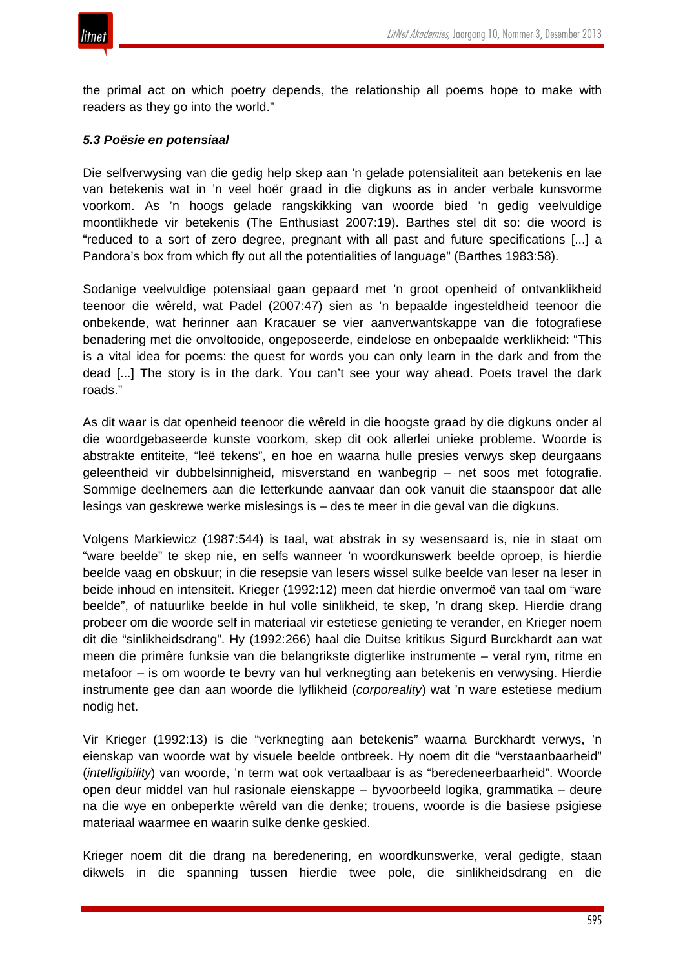

the primal act on which poetry depends, the relationship all poems hope to make with readers as they go into the world."

#### *5.3 Poësie en potensiaal*

Die selfverwysing van die gedig help skep aan 'n gelade potensialiteit aan betekenis en lae van betekenis wat in 'n veel hoër graad in die digkuns as in ander verbale kunsvorme voorkom. As 'n hoogs gelade rangskikking van woorde bied 'n gedig veelvuldige moontlikhede vir betekenis (The Enthusiast 2007:19). Barthes stel dit so: die woord is "reduced to a sort of zero degree, pregnant with all past and future specifications [...] a Pandora's box from which fly out all the potentialities of language" (Barthes 1983:58).

Sodanige veelvuldige potensiaal gaan gepaard met 'n groot openheid of ontvanklikheid teenoor die wêreld, wat Padel (2007:47) sien as 'n bepaalde ingesteldheid teenoor die onbekende, wat herinner aan Kracauer se vier aanverwantskappe van die fotografiese benadering met die onvoltooide, ongeposeerde, eindelose en onbepaalde werklikheid: "This is a vital idea for poems: the quest for words you can only learn in the dark and from the dead [...] The story is in the dark. You can't see your way ahead. Poets travel the dark roads."

As dit waar is dat openheid teenoor die wêreld in die hoogste graad by die digkuns onder al die woordgebaseerde kunste voorkom, skep dit ook allerlei unieke probleme. Woorde is abstrakte entiteite, "leë tekens", en hoe en waarna hulle presies verwys skep deurgaans geleentheid vir dubbelsinnigheid, misverstand en wanbegrip – net soos met fotografie. Sommige deelnemers aan die letterkunde aanvaar dan ook vanuit die staanspoor dat alle lesings van geskrewe werke mislesings is – des te meer in die geval van die digkuns.

Volgens Markiewicz (1987:544) is taal, wat abstrak in sy wesensaard is, nie in staat om "ware beelde" te skep nie, en selfs wanneer 'n woordkunswerk beelde oproep, is hierdie beelde vaag en obskuur; in die resepsie van lesers wissel sulke beelde van leser na leser in beide inhoud en intensiteit. Krieger (1992:12) meen dat hierdie onvermoë van taal om "ware beelde", of natuurlike beelde in hul volle sinlikheid, te skep, 'n drang skep. Hierdie drang probeer om die woorde self in materiaal vir estetiese genieting te verander, en Krieger noem dit die "sinlikheidsdrang". Hy (1992:266) haal die Duitse kritikus Sigurd Burckhardt aan wat meen die primêre funksie van die belangrikste digterlike instrumente – veral rym, ritme en metafoor – is om woorde te bevry van hul verknegting aan betekenis en verwysing. Hierdie instrumente gee dan aan woorde die lyflikheid (*corporeality*) wat 'n ware estetiese medium nodig het.

Vir Krieger (1992:13) is die "verknegting aan betekenis" waarna Burckhardt verwys, 'n eienskap van woorde wat by visuele beelde ontbreek. Hy noem dit die "verstaanbaarheid" (*intelligibility*) van woorde, 'n term wat ook vertaalbaar is as "beredeneerbaarheid". Woorde open deur middel van hul rasionale eienskappe – byvoorbeeld logika, grammatika – deure na die wye en onbeperkte wêreld van die denke; trouens, woorde is die basiese psigiese materiaal waarmee en waarin sulke denke geskied.

Krieger noem dit die drang na beredenering, en woordkunswerke, veral gedigte, staan dikwels in die spanning tussen hierdie twee pole, die sinlikheidsdrang en die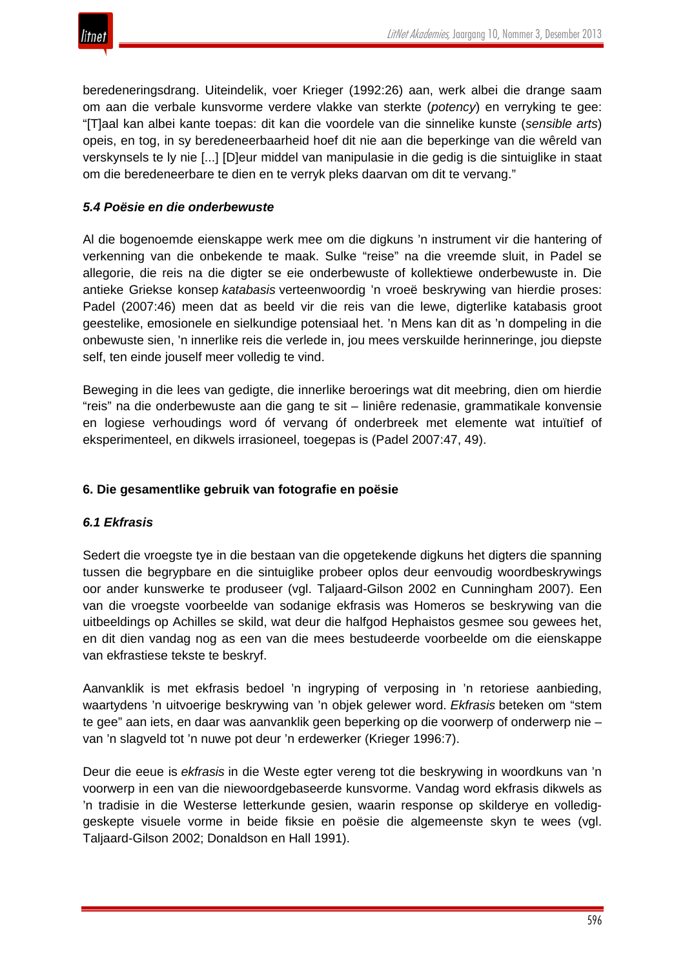beredeneringsdrang. Uiteindelik, voer Krieger (1992:26) aan, werk albei die drange saam om aan die verbale kunsvorme verdere vlakke van sterkte (*potency*) en verryking te gee: "[T]aal kan albei kante toepas: dit kan die voordele van die sinnelike kunste (*sensible arts*) opeis, en tog, in sy beredeneerbaarheid hoef dit nie aan die beperkinge van die wêreld van verskynsels te ly nie [...] [D]eur middel van manipulasie in die gedig is die sintuiglike in staat om die beredeneerbare te dien en te verryk pleks daarvan om dit te vervang."

## *5.4 Poësie en die onderbewuste*

Al die bogenoemde eienskappe werk mee om die digkuns 'n instrument vir die hantering of verkenning van die onbekende te maak. Sulke "reise" na die vreemde sluit, in Padel se allegorie, die reis na die digter se eie onderbewuste of kollektiewe onderbewuste in. Die antieke Griekse konsep *katabasis* verteenwoordig 'n vroeë beskrywing van hierdie proses: Padel (2007:46) meen dat as beeld vir die reis van die lewe, digterlike katabasis groot geestelike, emosionele en sielkundige potensiaal het. 'n Mens kan dit as 'n dompeling in die onbewuste sien, 'n innerlike reis die verlede in, jou mees verskuilde herinneringe, jou diepste self, ten einde jouself meer volledig te vind.

Beweging in die lees van gedigte, die innerlike beroerings wat dit meebring, dien om hierdie "reis" na die onderbewuste aan die gang te sit – liniêre redenasie, grammatikale konvensie en logiese verhoudings word óf vervang óf onderbreek met elemente wat intuïtief of eksperimenteel, en dikwels irrasioneel, toegepas is (Padel 2007:47, 49).

## **6. Die gesamentlike gebruik van fotografie en poësie**

#### *6.1 Ekfrasis*

Sedert die vroegste tye in die bestaan van die opgetekende digkuns het digters die spanning tussen die begrypbare en die sintuiglike probeer oplos deur eenvoudig woordbeskrywings oor ander kunswerke te produseer (vgl. Taljaard-Gilson 2002 en Cunningham 2007). Een van die vroegste voorbeelde van sodanige ekfrasis was Homeros se beskrywing van die uitbeeldings op Achilles se skild, wat deur die halfgod Hephaistos gesmee sou gewees het, en dit dien vandag nog as een van die mees bestudeerde voorbeelde om die eienskappe van ekfrastiese tekste te beskryf.

Aanvanklik is met ekfrasis bedoel 'n ingryping of verposing in 'n retoriese aanbieding, waartydens 'n uitvoerige beskrywing van 'n objek gelewer word. *Ekfrasis* beteken om "stem te gee" aan iets, en daar was aanvanklik geen beperking op die voorwerp of onderwerp nie – van 'n slagveld tot 'n nuwe pot deur 'n erdewerker (Krieger 1996:7).

Deur die eeue is *ekfrasis* in die Weste egter vereng tot die beskrywing in woordkuns van 'n voorwerp in een van die niewoordgebaseerde kunsvorme. Vandag word ekfrasis dikwels as 'n tradisie in die Westerse letterkunde gesien, waarin response op skilderye en vollediggeskepte visuele vorme in beide fiksie en poësie die algemeenste skyn te wees (vgl. Taljaard-Gilson 2002; Donaldson en Hall 1991).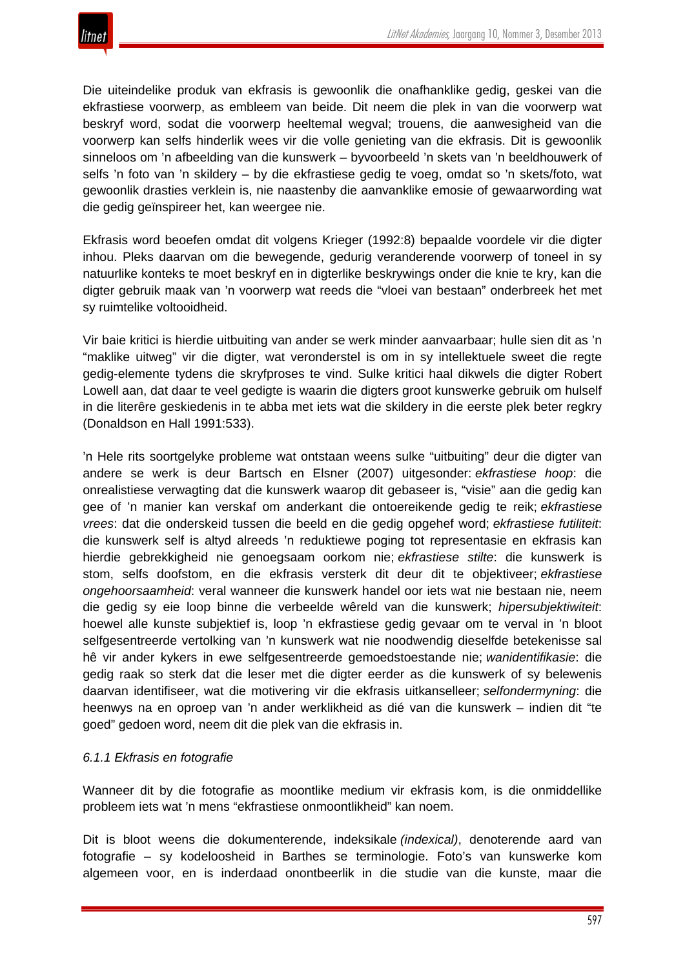Die uiteindelike produk van ekfrasis is gewoonlik die onafhanklike gedig, geskei van die ekfrastiese voorwerp, as embleem van beide. Dit neem die plek in van die voorwerp wat beskryf word, sodat die voorwerp heeltemal wegval; trouens, die aanwesigheid van die voorwerp kan selfs hinderlik wees vir die volle genieting van die ekfrasis. Dit is gewoonlik sinneloos om 'n afbeelding van die kunswerk – byvoorbeeld 'n skets van 'n beeldhouwerk of selfs 'n foto van 'n skildery – by die ekfrastiese gedig te voeg, omdat so 'n skets/foto, wat gewoonlik drasties verklein is, nie naastenby die aanvanklike emosie of gewaarwording wat die gedig geïnspireer het, kan weergee nie.

Ekfrasis word beoefen omdat dit volgens Krieger (1992:8) bepaalde voordele vir die digter inhou. Pleks daarvan om die bewegende, gedurig veranderende voorwerp of toneel in sy natuurlike konteks te moet beskryf en in digterlike beskrywings onder die knie te kry, kan die digter gebruik maak van 'n voorwerp wat reeds die "vloei van bestaan" onderbreek het met sy ruimtelike voltooidheid.

Vir baie kritici is hierdie uitbuiting van ander se werk minder aanvaarbaar; hulle sien dit as 'n "maklike uitweg" vir die digter, wat veronderstel is om in sy intellektuele sweet die regte gedig-elemente tydens die skryfproses te vind. Sulke kritici haal dikwels die digter Robert Lowell aan, dat daar te veel gedigte is waarin die digters groot kunswerke gebruik om hulself in die literêre geskiedenis in te abba met iets wat die skildery in die eerste plek beter regkry (Donaldson en Hall 1991:533).

'n Hele rits soortgelyke probleme wat ontstaan weens sulke "uitbuiting" deur die digter van andere se werk is deur Bartsch en Elsner (2007) uitgesonder: *ekfrastiese hoop*: die onrealistiese verwagting dat die kunswerk waarop dit gebaseer is, "visie" aan die gedig kan gee of 'n manier kan verskaf om anderkant die ontoereikende gedig te reik; *ekfrastiese vrees*: dat die onderskeid tussen die beeld en die gedig opgehef word; *ekfrastiese futiliteit*: die kunswerk self is altyd alreeds 'n reduktiewe poging tot representasie en ekfrasis kan hierdie gebrekkigheid nie genoegsaam oorkom nie; *ekfrastiese stilte*: die kunswerk is stom, selfs doofstom, en die ekfrasis versterk dit deur dit te objektiveer; *ekfrastiese ongehoorsaamheid*: veral wanneer die kunswerk handel oor iets wat nie bestaan nie, neem die gedig sy eie loop binne die verbeelde wêreld van die kunswerk; *hipersubjektiwiteit*: hoewel alle kunste subjektief is, loop 'n ekfrastiese gedig gevaar om te verval in 'n bloot selfgesentreerde vertolking van 'n kunswerk wat nie noodwendig dieselfde betekenisse sal hê vir ander kykers in ewe selfgesentreerde gemoedstoestande nie; *wanidentifikasie*: die gedig raak so sterk dat die leser met die digter eerder as die kunswerk of sy belewenis daarvan identifiseer, wat die motivering vir die ekfrasis uitkanselleer; *selfondermyning*: die heenwys na en oproep van 'n ander werklikheid as dié van die kunswerk – indien dit "te goed" gedoen word, neem dit die plek van die ekfrasis in.

#### *6.1.1 Ekfrasis en fotografie*

Wanneer dit by die fotografie as moontlike medium vir ekfrasis kom, is die onmiddellike probleem iets wat 'n mens "ekfrastiese onmoontlikheid" kan noem.

Dit is bloot weens die dokumenterende, indeksikale *(indexical)*, denoterende aard van fotografie – sy kodeloosheid in Barthes se terminologie. Foto's van kunswerke kom algemeen voor, en is inderdaad onontbeerlik in die studie van die kunste, maar die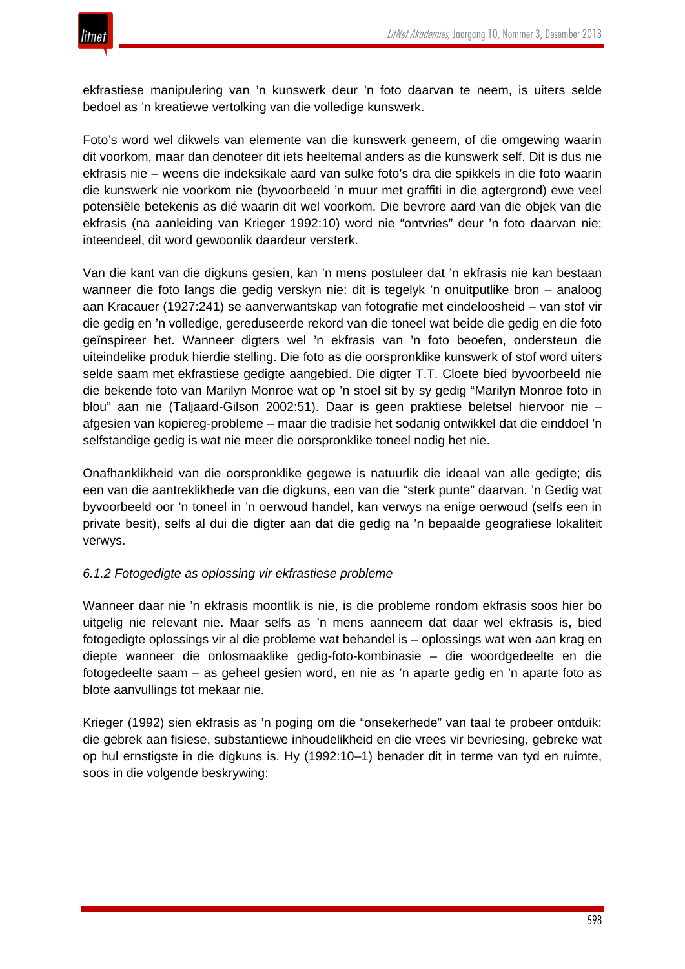

ekfrastiese manipulering van 'n kunswerk deur 'n foto daarvan te neem, is uiters selde bedoel as 'n kreatiewe vertolking van die volledige kunswerk.

Foto's word wel dikwels van elemente van die kunswerk geneem, of die omgewing waarin dit voorkom, maar dan denoteer dit iets heeltemal anders as die kunswerk self. Dit is dus nie ekfrasis nie – weens die indeksikale aard van sulke foto's dra die spikkels in die foto waarin die kunswerk nie voorkom nie (byvoorbeeld 'n muur met graffiti in die agtergrond) ewe veel potensiële betekenis as dié waarin dit wel voorkom. Die bevrore aard van die objek van die ekfrasis (na aanleiding van Krieger 1992:10) word nie "ontvries" deur 'n foto daarvan nie; inteendeel, dit word gewoonlik daardeur versterk.

Van die kant van die digkuns gesien, kan 'n mens postuleer dat 'n ekfrasis nie kan bestaan wanneer die foto langs die gedig verskyn nie: dit is tegelyk 'n onuitputlike bron – analoog aan Kracauer (1927:241) se aanverwantskap van fotografie met eindeloosheid – van stof vir die gedig en 'n volledige, gereduseerde rekord van die toneel wat beide die gedig en die foto geïnspireer het. Wanneer digters wel 'n ekfrasis van 'n foto beoefen, ondersteun die uiteindelike produk hierdie stelling. Die foto as die oorspronklike kunswerk of stof word uiters selde saam met ekfrastiese gedigte aangebied. Die digter T.T. Cloete bied byvoorbeeld nie die bekende foto van Marilyn Monroe wat op 'n stoel sit by sy gedig "Marilyn Monroe foto in blou" aan nie (Taljaard-Gilson 2002:51). Daar is geen praktiese beletsel hiervoor nie – afgesien van kopiereg-probleme – maar die tradisie het sodanig ontwikkel dat die einddoel 'n selfstandige gedig is wat nie meer die oorspronklike toneel nodig het nie.

Onafhanklikheid van die oorspronklike gegewe is natuurlik die ideaal van alle gedigte; dis een van die aantreklikhede van die digkuns, een van die "sterk punte" daarvan. 'n Gedig wat byvoorbeeld oor 'n toneel in 'n oerwoud handel, kan verwys na enige oerwoud (selfs een in private besit), selfs al dui die digter aan dat die gedig na 'n bepaalde geografiese lokaliteit verwys.

#### *6.1.2 Fotogedigte as oplossing vir ekfrastiese probleme*

Wanneer daar nie 'n ekfrasis moontlik is nie, is die probleme rondom ekfrasis soos hier bo uitgelig nie relevant nie. Maar selfs as 'n mens aanneem dat daar wel ekfrasis is, bied fotogedigte oplossings vir al die probleme wat behandel is – oplossings wat wen aan krag en diepte wanneer die onlosmaaklike gedig-foto-kombinasie – die woordgedeelte en die fotogedeelte saam – as geheel gesien word, en nie as 'n aparte gedig en 'n aparte foto as blote aanvullings tot mekaar nie.

Krieger (1992) sien ekfrasis as 'n poging om die "onsekerhede" van taal te probeer ontduik: die gebrek aan fisiese, substantiewe inhoudelikheid en die vrees vir bevriesing, gebreke wat op hul ernstigste in die digkuns is. Hy (1992:10–1) benader dit in terme van tyd en ruimte, soos in die volgende beskrywing: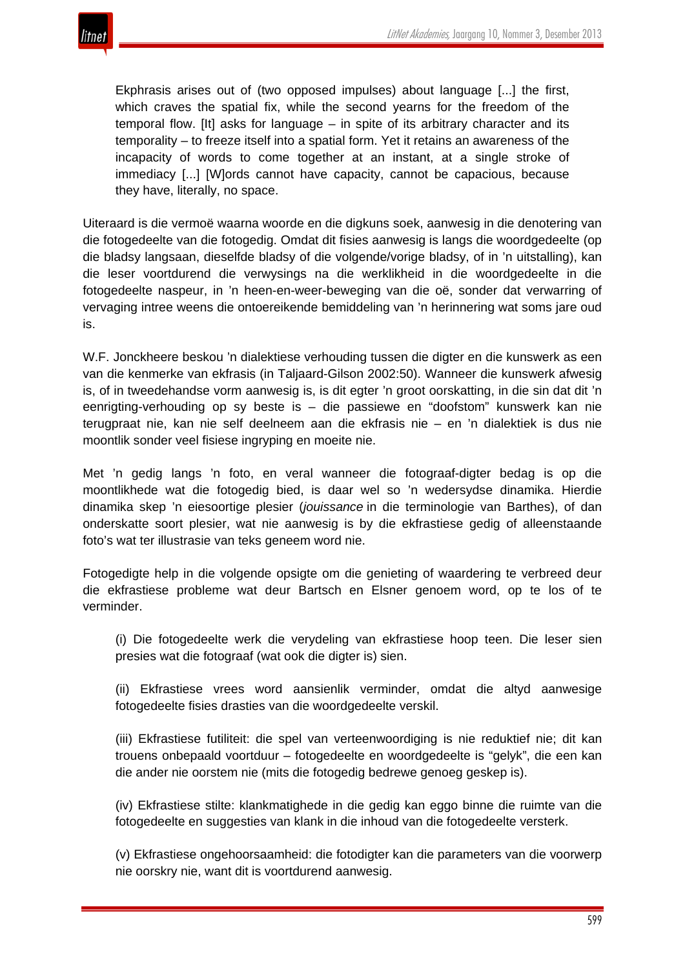

Ekphrasis arises out of (two opposed impulses) about language [...] the first, which craves the spatial fix, while the second yearns for the freedom of the temporal flow. [It] asks for language – in spite of its arbitrary character and its temporality – to freeze itself into a spatial form. Yet it retains an awareness of the incapacity of words to come together at an instant, at a single stroke of immediacy [...] [W]ords cannot have capacity, cannot be capacious, because they have, literally, no space.

Uiteraard is die vermoë waarna woorde en die digkuns soek, aanwesig in die denotering van die fotogedeelte van die fotogedig. Omdat dit fisies aanwesig is langs die woordgedeelte (op die bladsy langsaan, dieselfde bladsy of die volgende/vorige bladsy, of in 'n uitstalling), kan die leser voortdurend die verwysings na die werklikheid in die woordgedeelte in die fotogedeelte naspeur, in 'n heen-en-weer-beweging van die oë, sonder dat verwarring of vervaging intree weens die ontoereikende bemiddeling van 'n herinnering wat soms jare oud is.

W.F. Jonckheere beskou 'n dialektiese verhouding tussen die digter en die kunswerk as een van die kenmerke van ekfrasis (in Taljaard-Gilson 2002:50). Wanneer die kunswerk afwesig is, of in tweedehandse vorm aanwesig is, is dit egter 'n groot oorskatting, in die sin dat dit 'n eenrigting-verhouding op sy beste is – die passiewe en "doofstom" kunswerk kan nie terugpraat nie, kan nie self deelneem aan die ekfrasis nie – en 'n dialektiek is dus nie moontlik sonder veel fisiese ingryping en moeite nie.

Met 'n gedig langs 'n foto, en veral wanneer die fotograaf-digter bedag is op die moontlikhede wat die fotogedig bied, is daar wel so 'n wedersydse dinamika. Hierdie dinamika skep 'n eiesoortige plesier (*jouissance* in die terminologie van Barthes), of dan onderskatte soort plesier, wat nie aanwesig is by die ekfrastiese gedig of alleenstaande foto's wat ter illustrasie van teks geneem word nie.

Fotogedigte help in die volgende opsigte om die genieting of waardering te verbreed deur die ekfrastiese probleme wat deur Bartsch en Elsner genoem word, op te los of te verminder.

(i) Die fotogedeelte werk die verydeling van ekfrastiese hoop teen. Die leser sien presies wat die fotograaf (wat ook die digter is) sien.

(ii) Ekfrastiese vrees word aansienlik verminder, omdat die altyd aanwesige fotogedeelte fisies drasties van die woordgedeelte verskil.

(iii) Ekfrastiese futiliteit: die spel van verteenwoordiging is nie reduktief nie; dit kan trouens onbepaald voortduur – fotogedeelte en woordgedeelte is "gelyk", die een kan die ander nie oorstem nie (mits die fotogedig bedrewe genoeg geskep is).

(iv) Ekfrastiese stilte: klankmatighede in die gedig kan eggo binne die ruimte van die fotogedeelte en suggesties van klank in die inhoud van die fotogedeelte versterk.

(v) Ekfrastiese ongehoorsaamheid: die fotodigter kan die parameters van die voorwerp nie oorskry nie, want dit is voortdurend aanwesig.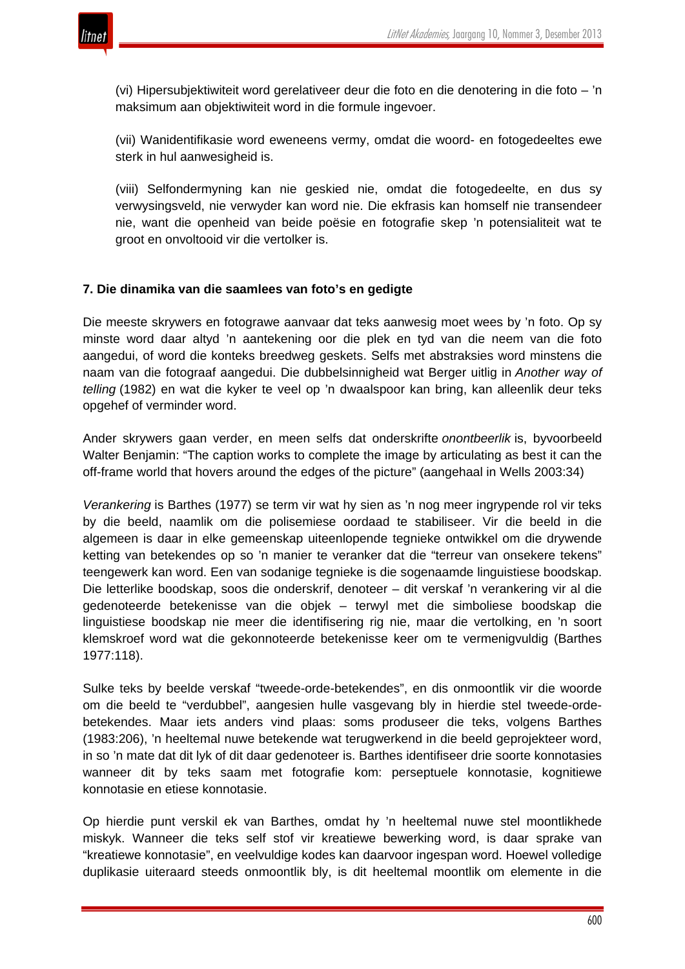

(vi) Hipersubjektiwiteit word gerelativeer deur die foto en die denotering in die foto – 'n maksimum aan objektiwiteit word in die formule ingevoer.

(vii) Wanidentifikasie word eweneens vermy, omdat die woord- en fotogedeeltes ewe sterk in hul aanwesigheid is.

(viii) Selfondermyning kan nie geskied nie, omdat die fotogedeelte, en dus sy verwysingsveld, nie verwyder kan word nie. Die ekfrasis kan homself nie transendeer nie, want die openheid van beide poësie en fotografie skep 'n potensialiteit wat te groot en onvoltooid vir die vertolker is.

#### **7. Die dinamika van die saamlees van foto's en gedigte**

Die meeste skrywers en fotograwe aanvaar dat teks aanwesig moet wees by 'n foto. Op sy minste word daar altyd 'n aantekening oor die plek en tyd van die neem van die foto aangedui, of word die konteks breedweg geskets. Selfs met abstraksies word minstens die naam van die fotograaf aangedui. Die dubbelsinnigheid wat Berger uitlig in *Another way of telling* (1982) en wat die kyker te veel op 'n dwaalspoor kan bring, kan alleenlik deur teks opgehef of verminder word.

Ander skrywers gaan verder, en meen selfs dat onderskrifte *onontbeerlik* is, byvoorbeeld Walter Benjamin: "The caption works to complete the image by articulating as best it can the off-frame world that hovers around the edges of the picture" (aangehaal in Wells 2003:34)

*Verankering* is Barthes (1977) se term vir wat hy sien as 'n nog meer ingrypende rol vir teks by die beeld, naamlik om die polisemiese oordaad te stabiliseer. Vir die beeld in die algemeen is daar in elke gemeenskap uiteenlopende tegnieke ontwikkel om die drywende ketting van betekendes op so 'n manier te veranker dat die "terreur van onsekere tekens" teengewerk kan word. Een van sodanige tegnieke is die sogenaamde linguistiese boodskap. Die letterlike boodskap, soos die onderskrif, denoteer – dit verskaf 'n verankering vir al die gedenoteerde betekenisse van die objek – terwyl met die simboliese boodskap die linguistiese boodskap nie meer die identifisering rig nie, maar die vertolking, en 'n soort klemskroef word wat die gekonnoteerde betekenisse keer om te vermenigvuldig (Barthes 1977:118).

Sulke teks by beelde verskaf "tweede-orde-betekendes", en dis onmoontlik vir die woorde om die beeld te "verdubbel", aangesien hulle vasgevang bly in hierdie stel tweede-ordebetekendes. Maar iets anders vind plaas: soms produseer die teks, volgens Barthes (1983:206), 'n heeltemal nuwe betekende wat terugwerkend in die beeld geprojekteer word, in so 'n mate dat dit lyk of dit daar gedenoteer is. Barthes identifiseer drie soorte konnotasies wanneer dit by teks saam met fotografie kom: perseptuele konnotasie, kognitiewe konnotasie en etiese konnotasie.

Op hierdie punt verskil ek van Barthes, omdat hy 'n heeltemal nuwe stel moontlikhede miskyk. Wanneer die teks self stof vir kreatiewe bewerking word, is daar sprake van "kreatiewe konnotasie", en veelvuldige kodes kan daarvoor ingespan word. Hoewel volledige duplikasie uiteraard steeds onmoontlik bly, is dit heeltemal moontlik om elemente in die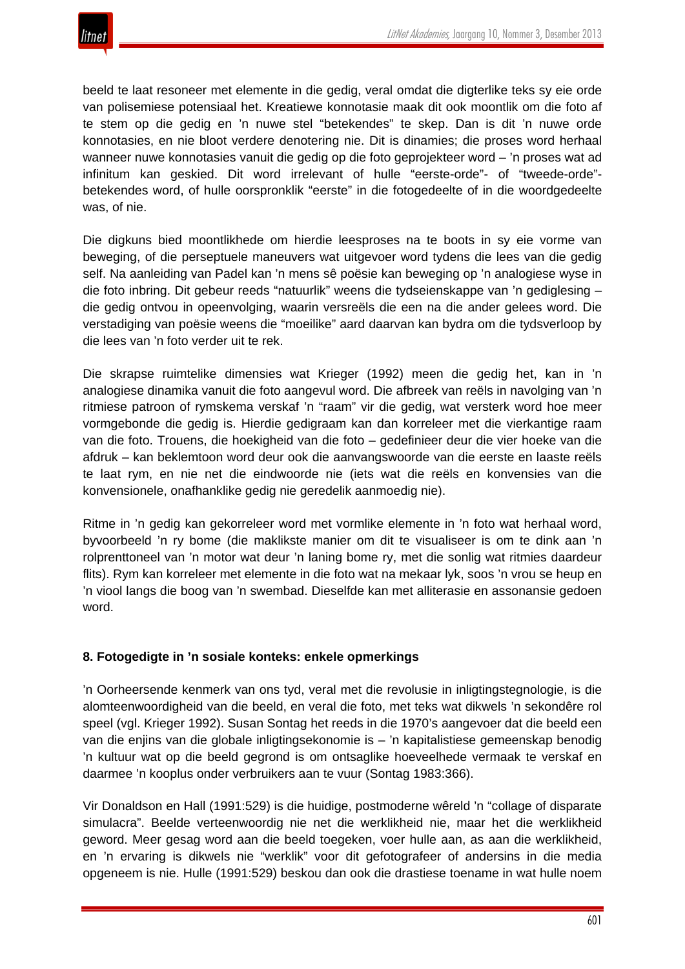

beeld te laat resoneer met elemente in die gedig, veral omdat die digterlike teks sy eie orde van polisemiese potensiaal het. Kreatiewe konnotasie maak dit ook moontlik om die foto af te stem op die gedig en 'n nuwe stel "betekendes" te skep. Dan is dit 'n nuwe orde konnotasies, en nie bloot verdere denotering nie. Dit is dinamies; die proses word herhaal wanneer nuwe konnotasies vanuit die gedig op die foto geprojekteer word – 'n proses wat ad infinitum kan geskied. Dit word irrelevant of hulle "eerste-orde"- of "tweede-orde" betekendes word, of hulle oorspronklik "eerste" in die fotogedeelte of in die woordgedeelte was, of nie.

Die digkuns bied moontlikhede om hierdie leesproses na te boots in sy eie vorme van beweging, of die perseptuele maneuvers wat uitgevoer word tydens die lees van die gedig self. Na aanleiding van Padel kan 'n mens sê poësie kan beweging op 'n analogiese wyse in die foto inbring. Dit gebeur reeds "natuurlik" weens die tydseienskappe van 'n gediglesing – die gedig ontvou in opeenvolging, waarin versreëls die een na die ander gelees word. Die verstadiging van poësie weens die "moeilike" aard daarvan kan bydra om die tydsverloop by die lees van 'n foto verder uit te rek.

Die skrapse ruimtelike dimensies wat Krieger (1992) meen die gedig het, kan in 'n analogiese dinamika vanuit die foto aangevul word. Die afbreek van reëls in navolging van 'n ritmiese patroon of rymskema verskaf 'n "raam" vir die gedig, wat versterk word hoe meer vormgebonde die gedig is. Hierdie gedigraam kan dan korreleer met die vierkantige raam van die foto. Trouens, die hoekigheid van die foto – gedefinieer deur die vier hoeke van die afdruk – kan beklemtoon word deur ook die aanvangswoorde van die eerste en laaste reëls te laat rym, en nie net die eindwoorde nie (iets wat die reëls en konvensies van die konvensionele, onafhanklike gedig nie geredelik aanmoedig nie).

Ritme in 'n gedig kan gekorreleer word met vormlike elemente in 'n foto wat herhaal word, byvoorbeeld 'n ry bome (die maklikste manier om dit te visualiseer is om te dink aan 'n rolprenttoneel van 'n motor wat deur 'n laning bome ry, met die sonlig wat ritmies daardeur flits). Rym kan korreleer met elemente in die foto wat na mekaar lyk, soos 'n vrou se heup en 'n viool langs die boog van 'n swembad. Dieselfde kan met alliterasie en assonansie gedoen word.

#### **8. Fotogedigte in 'n sosiale konteks: enkele opmerkings**

'n Oorheersende kenmerk van ons tyd, veral met die revolusie in inligtingstegnologie, is die alomteenwoordigheid van die beeld, en veral die foto, met teks wat dikwels 'n sekondêre rol speel (vgl. Krieger 1992). Susan Sontag het reeds in die 1970's aangevoer dat die beeld een van die enjins van die globale inligtingsekonomie is – 'n kapitalistiese gemeenskap benodig 'n kultuur wat op die beeld gegrond is om ontsaglike hoeveelhede vermaak te verskaf en daarmee 'n kooplus onder verbruikers aan te vuur (Sontag 1983:366).

Vir Donaldson en Hall (1991:529) is die huidige, postmoderne wêreld 'n "collage of disparate simulacra". Beelde verteenwoordig nie net die werklikheid nie, maar het die werklikheid geword. Meer gesag word aan die beeld toegeken, voer hulle aan, as aan die werklikheid, en 'n ervaring is dikwels nie "werklik" voor dit gefotografeer of andersins in die media opgeneem is nie. Hulle (1991:529) beskou dan ook die drastiese toename in wat hulle noem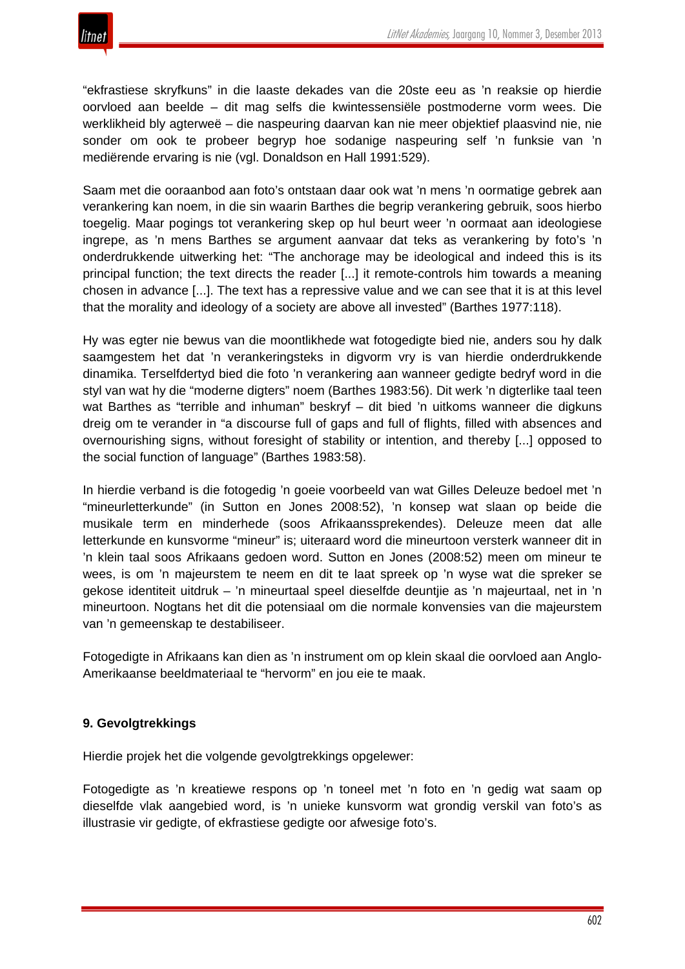

"ekfrastiese skryfkuns" in die laaste dekades van die 20ste eeu as 'n reaksie op hierdie oorvloed aan beelde – dit mag selfs die kwintessensiële postmoderne vorm wees. Die werklikheid bly agterweë – die naspeuring daarvan kan nie meer objektief plaasvind nie, nie sonder om ook te probeer begryp hoe sodanige naspeuring self 'n funksie van 'n mediërende ervaring is nie (vgl. Donaldson en Hall 1991:529).

Saam met die ooraanbod aan foto's ontstaan daar ook wat 'n mens 'n oormatige gebrek aan verankering kan noem, in die sin waarin Barthes die begrip verankering gebruik, soos hierbo toegelig. Maar pogings tot verankering skep op hul beurt weer 'n oormaat aan ideologiese ingrepe, as 'n mens Barthes se argument aanvaar dat teks as verankering by foto's 'n onderdrukkende uitwerking het: "The anchorage may be ideological and indeed this is its principal function; the text directs the reader [...] it remote-controls him towards a meaning chosen in advance [...]. The text has a repressive value and we can see that it is at this level that the morality and ideology of a society are above all invested" (Barthes 1977:118).

Hy was egter nie bewus van die moontlikhede wat fotogedigte bied nie, anders sou hy dalk saamgestem het dat 'n verankeringsteks in digvorm vry is van hierdie onderdrukkende dinamika. Terselfdertyd bied die foto 'n verankering aan wanneer gedigte bedryf word in die styl van wat hy die "moderne digters" noem (Barthes 1983:56). Dit werk 'n digterlike taal teen wat Barthes as "terrible and inhuman" beskryf – dit bied 'n uitkoms wanneer die digkuns dreig om te verander in "a discourse full of gaps and full of flights, filled with absences and overnourishing signs, without foresight of stability or intention, and thereby [...] opposed to the social function of language" (Barthes 1983:58).

In hierdie verband is die fotogedig 'n goeie voorbeeld van wat Gilles Deleuze bedoel met 'n "mineurletterkunde" (in Sutton en Jones 2008:52), 'n konsep wat slaan op beide die musikale term en minderhede (soos Afrikaanssprekendes). Deleuze meen dat alle letterkunde en kunsvorme "mineur" is; uiteraard word die mineurtoon versterk wanneer dit in 'n klein taal soos Afrikaans gedoen word. Sutton en Jones (2008:52) meen om mineur te wees, is om 'n majeurstem te neem en dit te laat spreek op 'n wyse wat die spreker se gekose identiteit uitdruk – 'n mineurtaal speel dieselfde deuntjie as 'n majeurtaal, net in 'n mineurtoon. Nogtans het dit die potensiaal om die normale konvensies van die majeurstem van 'n gemeenskap te destabiliseer.

Fotogedigte in Afrikaans kan dien as 'n instrument om op klein skaal die oorvloed aan Anglo-Amerikaanse beeldmateriaal te "hervorm" en jou eie te maak.

#### **9. Gevolgtrekkings**

Hierdie projek het die volgende gevolgtrekkings opgelewer:

Fotogedigte as 'n kreatiewe respons op 'n toneel met 'n foto en 'n gedig wat saam op dieselfde vlak aangebied word, is 'n unieke kunsvorm wat grondig verskil van foto's as illustrasie vir gedigte, of ekfrastiese gedigte oor afwesige foto's.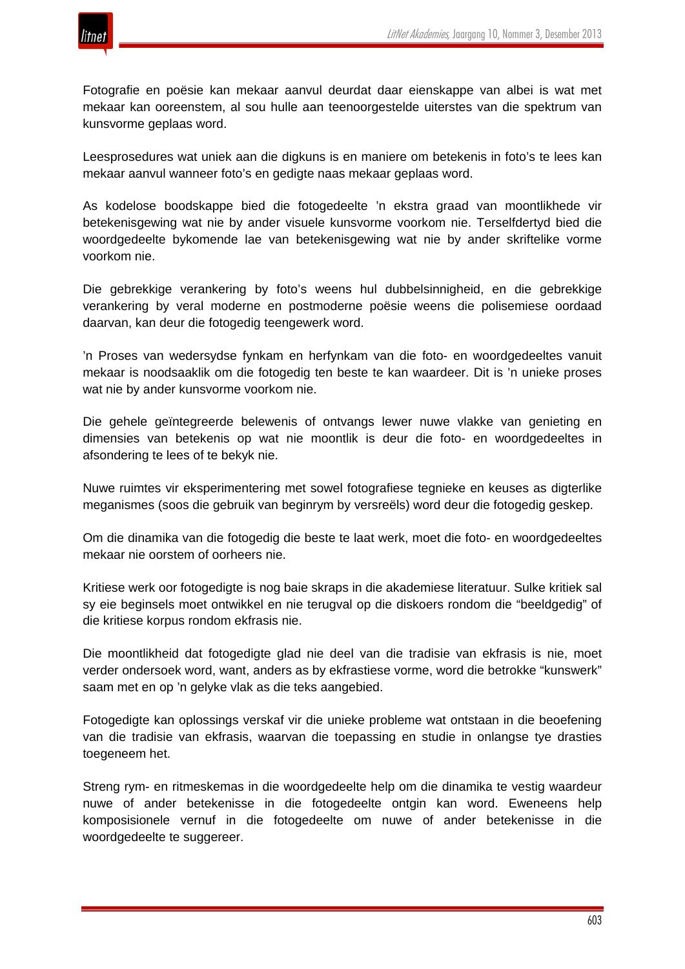

Fotografie en poësie kan mekaar aanvul deurdat daar eienskappe van albei is wat met mekaar kan ooreenstem, al sou hulle aan teenoorgestelde uiterstes van die spektrum van kunsvorme geplaas word.

Leesprosedures wat uniek aan die digkuns is en maniere om betekenis in foto's te lees kan mekaar aanvul wanneer foto's en gedigte naas mekaar geplaas word.

As kodelose boodskappe bied die fotogedeelte 'n ekstra graad van moontlikhede vir betekenisgewing wat nie by ander visuele kunsvorme voorkom nie. Terselfdertyd bied die woordgedeelte bykomende lae van betekenisgewing wat nie by ander skriftelike vorme voorkom nie.

Die gebrekkige verankering by foto's weens hul dubbelsinnigheid, en die gebrekkige verankering by veral moderne en postmoderne poësie weens die polisemiese oordaad daarvan, kan deur die fotogedig teengewerk word.

'n Proses van wedersydse fynkam en herfynkam van die foto- en woordgedeeltes vanuit mekaar is noodsaaklik om die fotogedig ten beste te kan waardeer. Dit is 'n unieke proses wat nie by ander kunsvorme voorkom nie.

Die gehele geïntegreerde belewenis of ontvangs lewer nuwe vlakke van genieting en dimensies van betekenis op wat nie moontlik is deur die foto- en woordgedeeltes in afsondering te lees of te bekyk nie.

Nuwe ruimtes vir eksperimentering met sowel fotografiese tegnieke en keuses as digterlike meganismes (soos die gebruik van beginrym by versreëls) word deur die fotogedig geskep.

Om die dinamika van die fotogedig die beste te laat werk, moet die foto- en woordgedeeltes mekaar nie oorstem of oorheers nie.

Kritiese werk oor fotogedigte is nog baie skraps in die akademiese literatuur. Sulke kritiek sal sy eie beginsels moet ontwikkel en nie terugval op die diskoers rondom die "beeldgedig" of die kritiese korpus rondom ekfrasis nie.

Die moontlikheid dat fotogedigte glad nie deel van die tradisie van ekfrasis is nie, moet verder ondersoek word, want, anders as by ekfrastiese vorme, word die betrokke "kunswerk" saam met en op 'n gelyke vlak as die teks aangebied.

Fotogedigte kan oplossings verskaf vir die unieke probleme wat ontstaan in die beoefening van die tradisie van ekfrasis, waarvan die toepassing en studie in onlangse tye drasties toegeneem het.

Streng rym- en ritmeskemas in die woordgedeelte help om die dinamika te vestig waardeur nuwe of ander betekenisse in die fotogedeelte ontgin kan word. Eweneens help komposisionele vernuf in die fotogedeelte om nuwe of ander betekenisse in die woordgedeelte te suggereer.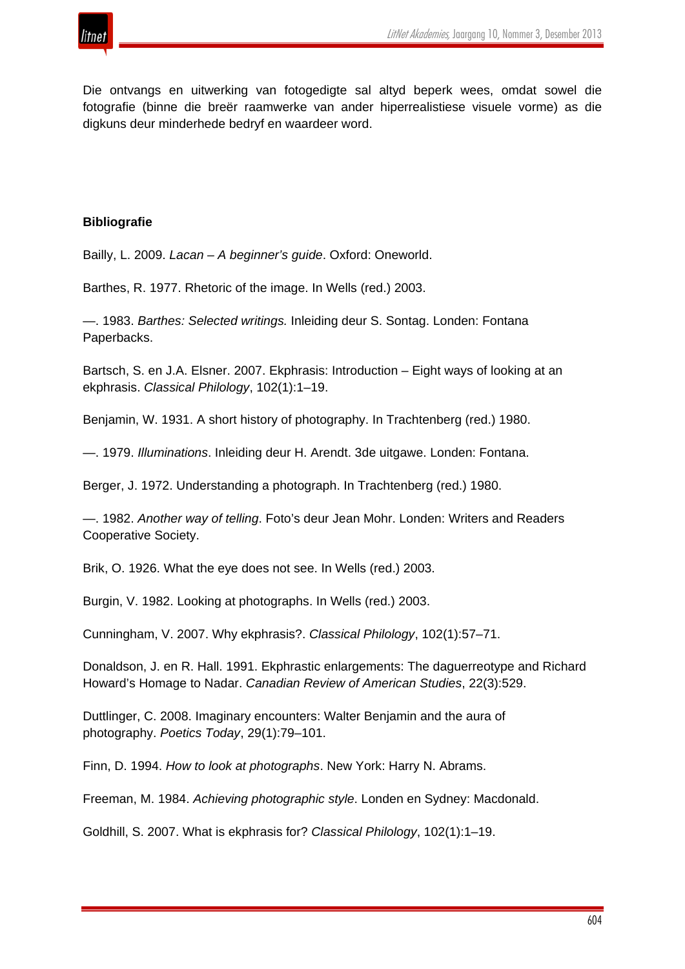

Die ontvangs en uitwerking van fotogedigte sal altyd beperk wees, omdat sowel die fotografie (binne die breër raamwerke van ander hiperrealistiese visuele vorme) as die digkuns deur minderhede bedryf en waardeer word.

#### **Bibliografie**

Bailly, L. 2009. *Lacan – A beginner's guide*. Oxford: Oneworld.

Barthes, R. 1977. Rhetoric of the image. In Wells (red.) 2003.

—. 1983. *Barthes: Selected writings.* Inleiding deur S. Sontag. Londen: Fontana Paperbacks.

Bartsch, S. en J.A. Elsner. 2007. Ekphrasis: Introduction – Eight ways of looking at an ekphrasis. *Classical Philology*, 102(1):1–19.

Benjamin, W. 1931. A short history of photography. In Trachtenberg (red.) 1980.

—. 1979. *Illuminations*. Inleiding deur H. Arendt. 3de uitgawe. Londen: Fontana.

Berger, J. 1972. Understanding a photograph. In Trachtenberg (red.) 1980.

—. 1982. *Another way of telling*. Foto's deur Jean Mohr. Londen: Writers and Readers Cooperative Society.

Brik, O. 1926. What the eye does not see. In Wells (red.) 2003.

Burgin, V. 1982. Looking at photographs. In Wells (red.) 2003.

Cunningham, V. 2007. Why ekphrasis?. *Classical Philology*, 102(1):57–71.

Donaldson, J. en R. Hall. 1991. Ekphrastic enlargements: The daguerreotype and Richard Howard's Homage to Nadar. *Canadian Review of American Studies*, 22(3):529.

Duttlinger, C. 2008. Imaginary encounters: Walter Benjamin and the aura of photography. *Poetics Today*, 29(1):79–101.

Finn, D. 1994. *How to look at photographs*. New York: Harry N. Abrams.

Freeman, M. 1984. *Achieving photographic style*. Londen en Sydney: Macdonald.

Goldhill, S. 2007. What is ekphrasis for? *Classical Philology*, 102(1):1–19.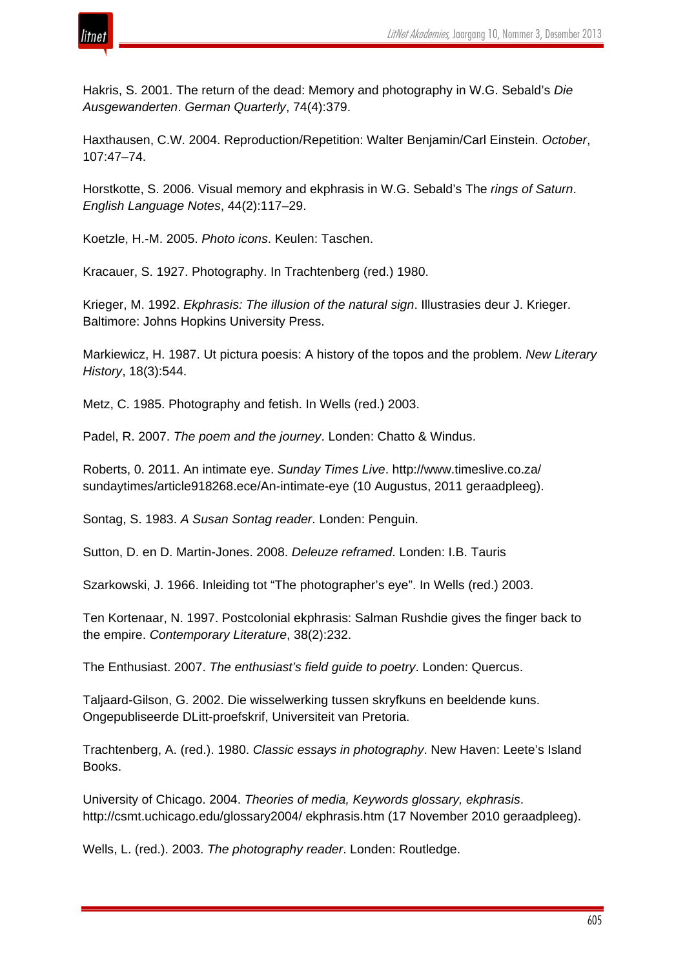

Hakris, S. 2001. The return of the dead: Memory and photography in W.G. Sebald's *Die Ausgewanderten*. *German Quarterly*, 74(4):379.

Haxthausen, C.W. 2004. Reproduction/Repetition: Walter Benjamin/Carl Einstein. *October*, 107:47–74.

Horstkotte, S. 2006. Visual memory and ekphrasis in W.G. Sebald's The *rings of Saturn*. *English Language Notes*, 44(2):117–29.

Koetzle, H.-M. 2005. *Photo icons*. Keulen: Taschen.

Kracauer, S. 1927. Photography. In Trachtenberg (red.) 1980.

Krieger, M. 1992. *Ekphrasis: The illusion of the natural sign*. Illustrasies deur J. Krieger. Baltimore: Johns Hopkins University Press.

Markiewicz, H. 1987. Ut pictura poesis: A history of the topos and the problem. *New Literary History*, 18(3):544.

Metz, C. 1985. Photography and fetish. In Wells (red.) 2003.

Padel, R. 2007. *The poem and the journey*. Londen: Chatto & Windus.

Roberts, 0. 2011. An intimate eye. *Sunday Times Live*. http://www.timeslive.co.za/ sundaytimes/article918268.ece/An-intimate-eye (10 Augustus, 2011 geraadpleeg).

Sontag, S. 1983. *A Susan Sontag reader*. Londen: Penguin.

Sutton, D. en D. Martin-Jones. 2008. *Deleuze reframed*. Londen: I.B. Tauris

Szarkowski, J. 1966. Inleiding tot "The photographer's eye". In Wells (red.) 2003.

Ten Kortenaar, N. 1997. Postcolonial ekphrasis: Salman Rushdie gives the finger back to the empire. *Contemporary Literature*, 38(2):232.

The Enthusiast. 2007. *The enthusiast's field guide to poetry*. Londen: Quercus.

Taljaard-Gilson, G. 2002. Die wisselwerking tussen skryfkuns en beeldende kuns. Ongepubliseerde DLitt-proefskrif, Universiteit van Pretoria.

Trachtenberg, A. (red.). 1980. *Classic essays in photography*. New Haven: Leete's Island Books.

University of Chicago. 2004. *Theories of media, Keywords glossary, ekphrasis*. http://csmt.uchicago.edu/glossary2004/ ekphrasis.htm (17 November 2010 geraadpleeg).

Wells, L. (red.). 2003. *The photography reader*. Londen: Routledge.